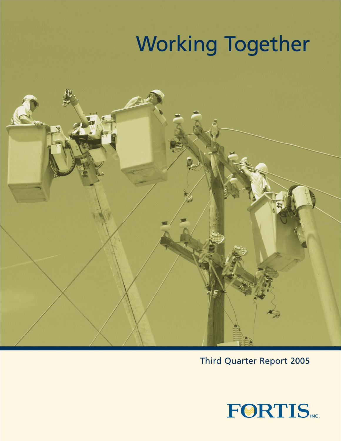# **Working Together**



**Third Quarter Report 2005** 

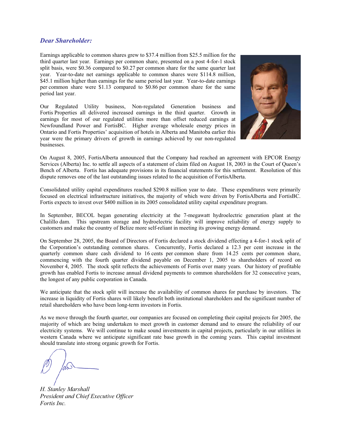## *Dear Shareholder:*

Earnings applicable to common shares grew to \$37.4 million from \$25.5 million for the third quarter last year. Earnings per common share, presented on a post 4-for-1 stock split basis, were \$0.36 compared to \$0.27 per common share for the same quarter last year. Year-to-date net earnings applicable to common shares were \$114.8 million, \$45.1 million higher than earnings for the same period last year. Year-to-date earnings per common share were \$1.13 compared to \$0.86 per common share for the same period last year.

Our Regulated Utility business, Non-regulated Generation business and Fortis Properties all delivered increased earnings in the third quarter. Growth in earnings for most of our regulated utilities more than offset reduced earnings at Newfoundland Power and FortisBC. Higher average wholesale energy prices in Ontario and Fortis Properties' acquisition of hotels in Alberta and Manitoba earlier this year were the primary drivers of growth in earnings achieved by our non-regulated businesses.



On August 8, 2005, FortisAlberta announced that the Company had reached an agreement with EPCOR Energy Services (Alberta) Inc. to settle all aspects of a statement of claim filed on August 18, 2003 in the Court of Queen's Bench of Alberta. Fortis has adequate provisions in its financial statements for this settlement. Resolution of this dispute removes one of the last outstanding issues related to the acquisition of FortisAlberta.

Consolidated utility capital expenditures reached \$290.8 million year to date. These expenditures were primarily focused on electrical infrastructure initiatives, the majority of which were driven by FortisAlberta and FortisBC. Fortis expects to invest over \$400 million in its 2005 consolidated utility capital expenditure program.

In September, BECOL began generating electricity at the 7-megawatt hydroelectric generation plant at the Chalillo dam. This upstream storage and hydroelectric facility will improve reliability of energy supply to customers and make the country of Belize more self-reliant in meeting its growing energy demand.

On September 28, 2005, the Board of Directors of Fortis declared a stock dividend effecting a 4-for-1 stock split of the Corporation's outstanding common shares. Concurrently, Fortis declared a 12.3 per cent increase in the quarterly common share cash dividend to 16 cents per common share from 14.25 cents per common share, commencing with the fourth quarter dividend payable on December 1, 2005 to shareholders of record on November 4, 2005. The stock split reflects the achievements of Fortis over many years. Our history of profitable growth has enabled Fortis to increase annual dividend payments to common shareholders for 32 consecutive years, the longest of any public corporation in Canada.

We anticipate that the stock split will increase the availability of common shares for purchase by investors. The increase in liquidity of Fortis shares will likely benefit both institutional shareholders and the significant number of retail shareholders who have been long-term investors in Fortis.

As we move through the fourth quarter, our companies are focused on completing their capital projects for 2005, the majority of which are being undertaken to meet growth in customer demand and to ensure the reliability of our electricity systems. We will continue to make sound investments in capital projects, particularly in our utilities in western Canada where we anticipate significant rate base growth in the coming years. This capital investment should translate into strong organic growth for Fortis.

*H. Stanley Marshall President and Chief Executive Officer Fortis Inc.*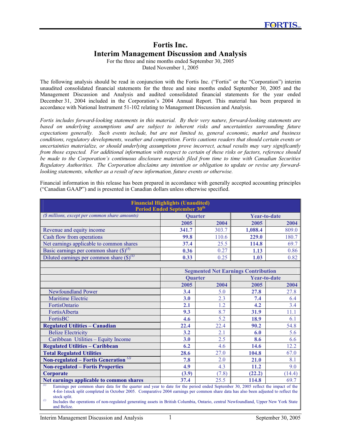# **Fortis Inc. Interim Management Discussion and Analysis**

For the three and nine months ended September 30, 2005 Dated November 1, 2005

The following analysis should be read in conjunction with the Fortis Inc. ("Fortis" or the "Corporation") interim unaudited consolidated financial statements for the three and nine months ended September 30, 2005 and the Management Discussion and Analysis and audited consolidated financial statements for the year ended December 31, 2004 included in the Corporation's 2004 Annual Report. This material has been prepared in accordance with National Instrument 51-102 relating to Management Discussion and Analysis.

*Fortis includes forward-looking statements in this material. By their very nature, forward-looking statements are based on underlying assumptions and are subject to inherent risks and uncertainties surrounding future expectations generally. Such events include, but are not limited to, general economic, market and business conditions, regulatory developments, weather and competition. Fortis cautions readers that should certain events or uncertainties materialize, or should underlying assumptions prove incorrect, actual results may vary significantly from those expected. For additional information with respect to certain of these risks or factors, reference should be made to the Corporation's continuous disclosure materials filed from time to time with Canadian Securities Regulatory Authorities. The Corporation disclaims any intention or obligation to update or revise any forwardlooking statements, whether as a result of new information, future events or otherwise.* 

Financial information in this release has been prepared in accordance with generally accepted accounting principles ("Canadian GAAP") and is presented in Canadian dollars unless otherwise specified.

| <b>Financial Highlights (Unaudited)</b><br>Period Ended September 30 <sup>th</sup>                                                                                                                                                                                                                                                                                                                                                                          |                                            |       |                     |        |
|-------------------------------------------------------------------------------------------------------------------------------------------------------------------------------------------------------------------------------------------------------------------------------------------------------------------------------------------------------------------------------------------------------------------------------------------------------------|--------------------------------------------|-------|---------------------|--------|
| (\$ millions, except per common share amounts)                                                                                                                                                                                                                                                                                                                                                                                                              | <b>Ouarter</b>                             |       | <b>Year-to-date</b> |        |
|                                                                                                                                                                                                                                                                                                                                                                                                                                                             | 2005                                       | 2004  | 2005                | 2004   |
| Revenue and equity income                                                                                                                                                                                                                                                                                                                                                                                                                                   | 341.7                                      | 303.7 | 1,088.4             | 809.0  |
| Cash flow from operations                                                                                                                                                                                                                                                                                                                                                                                                                                   | 99.8                                       | 110.6 | 229.0               | 180.7  |
| Net earnings applicable to common shares                                                                                                                                                                                                                                                                                                                                                                                                                    | 37.4                                       | 25.5  | 114.8               | 69.7   |
| Basic earnings per common share $(\text{\$})^{(1)}$                                                                                                                                                                                                                                                                                                                                                                                                         | 0.36                                       | 0.27  | 1.13                | 0.86   |
| Diluted earnings per common share $(\text{\$})^{(1)}$                                                                                                                                                                                                                                                                                                                                                                                                       | 0.33                                       | 0.25  | 1.03                | 0.82   |
|                                                                                                                                                                                                                                                                                                                                                                                                                                                             |                                            |       |                     |        |
|                                                                                                                                                                                                                                                                                                                                                                                                                                                             | <b>Segmented Net Earnings Contribution</b> |       |                     |        |
|                                                                                                                                                                                                                                                                                                                                                                                                                                                             | <b>Quarter</b>                             |       | <b>Year-to-date</b> |        |
|                                                                                                                                                                                                                                                                                                                                                                                                                                                             | 2005                                       | 2004  | 2005                | 2004   |
| Newfoundland Power                                                                                                                                                                                                                                                                                                                                                                                                                                          | 3.4                                        | 5.0   | 27.8                | 27.8   |
| <b>Maritime Electric</b>                                                                                                                                                                                                                                                                                                                                                                                                                                    | 3.0                                        | 2.3   | 7.4                 | 6.4    |
| FortisOntario                                                                                                                                                                                                                                                                                                                                                                                                                                               | 2.1                                        | 1.2   | 4.2                 | 3.4    |
| FortisAlberta                                                                                                                                                                                                                                                                                                                                                                                                                                               | 9.3                                        | 8.7   | 31.9                | 11.1   |
| FortisBC                                                                                                                                                                                                                                                                                                                                                                                                                                                    | 4.6                                        | 5.2   | 18.9                | 6.1    |
| <b>Regulated Utilities - Canadian</b>                                                                                                                                                                                                                                                                                                                                                                                                                       | 22.4                                       | 22.4  | 90.2                | 54.8   |
| <b>Belize Electricity</b>                                                                                                                                                                                                                                                                                                                                                                                                                                   | 3.2                                        | 2.1   | 6.0                 | 5.6    |
| Caribbean Utilities - Equity Income                                                                                                                                                                                                                                                                                                                                                                                                                         | 3.0                                        | 2.5   | 8.6                 | 6.6    |
| <b>Regulated Utilities - Caribbean</b>                                                                                                                                                                                                                                                                                                                                                                                                                      | 6.2                                        | 4.6   | 14.6                | 12.2   |
| <b>Total Regulated Utilities</b>                                                                                                                                                                                                                                                                                                                                                                                                                            | 28.6                                       | 27.0  | 104.8               | 67.0   |
| <b>Non-regulated – Fortis Generation</b> <sup>(2)</sup>                                                                                                                                                                                                                                                                                                                                                                                                     | 7.8                                        | 2.0   | 21.0                | 8.1    |
| <b>Non-regulated - Fortis Properties</b>                                                                                                                                                                                                                                                                                                                                                                                                                    | 4.9                                        | 4.3   | 11.2                | 9.0    |
| Corporate                                                                                                                                                                                                                                                                                                                                                                                                                                                   | (3.9)                                      | (7.8) | (22.2)              | (14.4) |
| Net earnings applicable to common shares                                                                                                                                                                                                                                                                                                                                                                                                                    | 37.4                                       | 25.5  | 114.8               | 69.7   |
| $\left( l\right)$<br>Earnings per common share data for the quarter and year to date for the period ended September 30, 2005 reflect the impact of the<br>4-for-1stock split completed in October 2005. Comparative 2004 earnings per common share data has also been adjusted to reflect the<br>stock split.<br>(2)<br>Includes the operations of non-regulated generating assets in British Columbia, Ontario, central Newfoundland, Upper New York State |                                            |       |                     |        |

and Belize.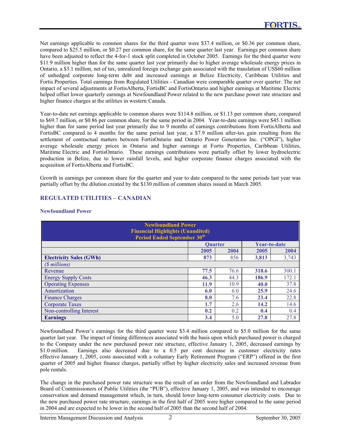Net earnings applicable to common shares for the third quarter were \$37.4 million, or \$0.36 per common share, compared to \$25.5 million, or \$0.27 per common share, for the same quarter last year. Earnings per common share have been adjusted to reflect the 4-for-1 stock split completed in October 2005. Earnings for the third quarter were \$11.9 million higher than for the same quarter last year primarily due to higher average wholesale energy prices in Ontario, a \$3.1 million, net of tax, unrealized foreign exchange gain associated with the translation of US\$60 million of unhedged corporate long-term debt and increased earnings at Belize Electricity, Caribbean Utilities and Fortis Properties. Total earnings from Regulated Utilities - Canadian were comparable quarter over quarter. The net impact of several adjustments at FortisAlberta, FortisBC and FortisOntario and higher earnings at Maritime Electric helped offset lower quarterly earnings at Newfoundland Power related to the new purchase power rate structure and higher finance charges at the utilities in western Canada.

Year-to-date net earnings applicable to common shares were \$114.8 million, or \$1.13 per common share, compared to \$69.7 million, or \$0.86 per common share, for the same period in 2004. Year-to-date earnings were \$45.1 million higher than for same period last year primarily due to 9 months of earnings contributions from FortisAlberta and FortisBC compared to 4 months for the same period last year, a \$7.9 million after-tax gain resulting from the settlement of contractual matters between FortisOntario and Ontario Power Generation Inc. ("OPGI"), higher average wholesale energy prices in Ontario and higher earnings at Fortis Properties, Caribbean Utilities, Maritime Electric and FortisOntario. These earnings contributions were partially offset by lower hydroelectric production in Belize, due to lower rainfall levels, and higher corporate finance charges associated with the acquisition of FortisAlberta and FortisBC.

Growth in earnings per common share for the quarter and year to date compared to the same periods last year was partially offset by the dilution created by the \$130 million of common shares issued in March 2005.

# **REGULATED UTILITIES – CANADIAN**

## **Newfoundland Power**

| <b>Newfoundland Power</b><br><b>Financial Highlights (Unaudited)</b><br><b>Period Ended September 30th</b> |      |                |              |       |
|------------------------------------------------------------------------------------------------------------|------|----------------|--------------|-------|
|                                                                                                            |      | <b>Ouarter</b> | Year-to-date |       |
|                                                                                                            | 2005 | 2004           | 2005         | 2004  |
| <b>Electricity Sales (GWh)</b>                                                                             | 873  | 856            | 3.813        | 3,743 |
| (\$ millions)                                                                                              |      |                |              |       |
| Revenue                                                                                                    | 77.5 | 76.6           | 318.6        | 300.1 |
| <b>Energy Supply Costs</b>                                                                                 | 46.3 | 44.3           | 186.9        | 172.1 |
| <b>Operating Expenses</b>                                                                                  | 11.9 | 10.9           | 40.0         | 37.8  |
| Amortization                                                                                               | 6.0  | 6.0            | 25.9         | 24.6  |
| <b>Finance Charges</b>                                                                                     | 8.0  | 7.6            | 23.4         | 22.8  |
| <b>Corporate Taxes</b>                                                                                     | 1.7  | 2.6            | 14.2         | 14.6  |
| Non-controlling Interest                                                                                   | 0.2  | 0.2            | 0.4          | 0.4   |
| <b>Earnings</b>                                                                                            | 3.4  | 5.0            | 27.8         | 27.8  |

Newfoundland Power's earnings for the third quarter were \$3.4 million compared to \$5.0 million for the same quarter last year. The impact of timing differences associated with the basis upon which purchased power is charged to the Company under the new purchased power rate structure, effective January 1, 2005, decreased earnings by \$1.0 million. Earnings also decreased due to a 0.5 per cent decrease in customer electricity rates Earnings also decreased due to a 0.5 per cent decrease in customer electricity rates effective January 1, 2005, costs associated with a voluntary Early Retirement Program ("ERP") offered in the first quarter of 2005 and higher finance charges, partially offset by higher electricity sales and increased revenue from pole rentals.

The change in the purchased power rate structure was the result of an order from the Newfoundland and Labrador Board of Commissioners of Public Utilities (the "PUB"), effective January 1, 2005, and was intended to encourage conservation and demand management which, in turn, should lower long-term consumer electricity costs. Due to the new purchased power rate structure, earnings in the first half of 2005 were higher compared to the same period in 2004 and are expected to be lower in the second half of 2005 than the second half of 2004.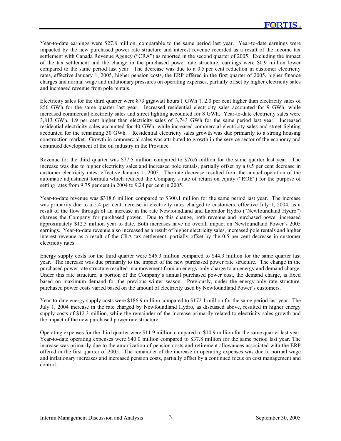Year-to-date earnings were \$27.8 million, comparable to the same period last year. Year-to-date earnings were impacted by the new purchased power rate structure and interest revenue recorded as a result of the income tax settlement with Canada Revenue Agency ("CRA") as reported in the second quarter of 2005. Excluding the impact of the tax settlement and the change in the purchased power rate structure, earnings were \$0.9 million lower compared to the same period last year. The decrease was due to a 0.5 per cent reduction in customer electricity rates, effective January 1, 2005, higher pension costs, the ERP offered in the first quarter of 2005, higher finance charges and normal wage and inflationary pressures on operating expenses, partially offset by higher electricity sales and increased revenue from pole rentals.

Electricity sales for the third quarter were 873 gigawatt hours ("GWh"), 2.0 per cent higher than electricity sales of 856 GWh for the same quarter last year. Increased residential electricity sales accounted for 9 GWh, while increased commercial electricity sales and street lighting accounted for 8 GWh. Year-to-date electricity sales were 3,813 GWh, 1.9 per cent higher than electricity sales of 3,743 GWh for the same period last year. Increased residential electricity sales accounted for 40 GWh, while increased commercial electricity sales and street lighting accounted for the remaining 30 GWh. Residential electricity sales growth was due primarily to a strong housing construction market. Growth in commercial sales was attributed to growth in the service sector of the economy and continued development of the oil industry in the Province.

Revenue for the third quarter was \$77.5 million compared to \$76.6 million for the same quarter last year. The increase was due to higher electricity sales and increased pole rentals, partially offset by a 0.5 per cent decrease in customer electricity rates, effective January 1, 2005. The rate decrease resulted from the annual operation of the automatic adjustment formula which reduced the Company's rate of return on equity ("ROE") for the purpose of setting rates from 9.75 per cent in 2004 to 9.24 per cent in 2005.

Year-to-date revenue was \$318.6 million compared to \$300.1 million for the same period last year. The increase was primarily due to a 5.4 per cent increase in electricity rates charged to customers, effective July 1, 2004, as a result of the flow through of an increase in the rate Newfoundland and Labrador Hydro ("Newfoundland Hydro") charges the Company for purchased power. Due to this change, both revenue and purchased power increased approximately \$12.3 million year to date. Both increases have no overall impact on Newfoundland Power's 2005 earnings. Year-to-date revenue also increased as a result of higher electricity sales, increased pole rentals and higher interest revenue as a result of the CRA tax settlement, partially offset by the 0.5 per cent decrease in customer electricity rates.

Energy supply costs for the third quarter were \$46.3 million compared to \$44.3 million for the same quarter last year. The increase was due primarily to the impact of the new purchased power rate structure. The change in the purchased power rate structure resulted in a movement from an energy-only charge to an energy and demand charge. Under this rate structure, a portion of the Company's annual purchased power cost, the demand charge, is fixed based on maximum demand for the previous winter season. Previously, under the energy-only rate structure, purchased power costs varied based on the amount of electricity used by Newfoundland Power's customers.

Year-to-date energy supply costs were \$186.9 million compared to \$172.1 million for the same period last year. The July 1, 2004 increase in the rate charged by Newfoundland Hydro, as discussed above, resulted in higher energy supply costs of \$12.3 million, while the remainder of the increase primarily related to electricity sales growth and the impact of the new purchased power rate structure.

Operating expenses for the third quarter were \$11.9 million compared to \$10.9 million for the same quarter last year. Year-to-date operating expenses were \$40.0 million compared to \$37.8 million for the same period last year. The increase was primarily due to the amortization of pension costs and retirement allowances associated with the ERP offered in the first quarter of 2005. The remainder of the increase in operating expenses was due to normal wage and inflationary increases and increased pension costs, partially offset by a continued focus on cost management and control.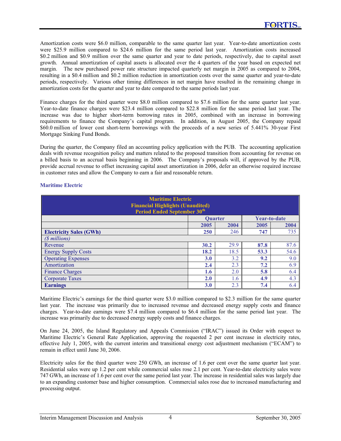Amortization costs were \$6.0 million, comparable to the same quarter last year. Year-to-date amortization costs were \$25.9 million compared to \$24.6 million for the same period last year. Amortization costs increased \$0.2 million and \$0.9 million over the same quarter and year to date periods, respectively, due to capital asset growth. Annual amortization of capital assets is allocated over the 4 quarters of the year based on expected net margin. The new purchased power rate structure impacted quarterly net margin in 2005 as compared to 2004, resulting in a \$0.4 million and \$0.2 million reduction in amortization costs over the same quarter and year-to-date periods, respectively. Various other timing differences in net margin have resulted in the remaining change in amortization costs for the quarter and year to date compared to the same periods last year.

Finance charges for the third quarter were \$8.0 million compared to \$7.6 million for the same quarter last year. Year-to-date finance charges were \$23.4 million compared to \$22.8 million for the same period last year. The increase was due to higher short-term borrowing rates in 2005, combined with an increase in borrowing requirements to finance the Company's capital program. In addition, in August 2005, the Company repaid \$60.0 million of lower cost short-term borrowings with the proceeds of a new series of 5.441% 30-year First Mortgage Sinking Fund Bonds.

During the quarter, the Company filed an accounting policy application with the PUB. The accounting application deals with revenue recognition policy and matters related to the proposed transition from accounting for revenue on a billed basis to an accrual basis beginning in 2006. The Company's proposals will, if approved by the PUB, provide accrual revenue to offset increasing capital asset amortization in 2006, defer an otherwise required increase in customer rates and allow the Company to earn a fair and reasonable return.

| <b>Maritime Electric</b><br><b>Financial Highlights (Unaudited)</b><br><b>Period Ended September 30th</b> |                |      |                     |      |
|-----------------------------------------------------------------------------------------------------------|----------------|------|---------------------|------|
|                                                                                                           | <b>Ouarter</b> |      | <b>Year-to-date</b> |      |
|                                                                                                           | 2005           | 2004 | 2005                | 2004 |
| <b>Electricity Sales (GWh)</b>                                                                            | 250            | 246  | 747                 | 735  |
| (\$ millions)                                                                                             |                |      |                     |      |
| Revenue                                                                                                   | 30.2           | 29.9 | 87.8                | 87.6 |
| <b>Energy Supply Costs</b>                                                                                | 18.2           | 18.5 | 53.3                | 54.6 |
| <b>Operating Expenses</b>                                                                                 | 3.0            | 3.2  | 9.2                 | 9.0  |
| Amortization                                                                                              | 2.4            | 2.3  | 7.2                 | 6.9  |
| <b>Finance Charges</b>                                                                                    | 1.6            | 2.0  | 5.8                 | 6.4  |
| <b>Corporate Taxes</b>                                                                                    | 2.0            | 1.6  | 4.9                 | 4.3  |
| <b>Earnings</b>                                                                                           | 3.0            | 2.3  | 7.4                 | 6.4  |

# **Maritime Electric**

Maritime Electric's earnings for the third quarter were \$3.0 million compared to \$2.3 million for the same quarter last year. The increase was primarily due to increased revenue and decreased energy supply costs and finance charges. Year-to-date earnings were \$7.4 million compared to \$6.4 million for the same period last year. The increase was primarily due to decreased energy supply costs and finance charges.

On June 24, 2005, the Island Regulatory and Appeals Commission ("IRAC") issued its Order with respect to Maritime Electric's General Rate Application, approving the requested 2 per cent increase in electricity rates, effective July 1, 2005, with the current interim and transitional energy cost adjustment mechanism ("ECAM") to remain in effect until June 30, 2006.

Electricity sales for the third quarter were 250 GWh, an increase of 1.6 per cent over the same quarter last year. Residential sales were up 1.2 per cent while commercial sales rose 2.1 per cent. Year-to-date electricity sales were 747 GWh, an increase of 1.6 per cent over the same period last year. The increase in residential sales was largely due to an expanding customer base and higher consumption. Commercial sales rose due to increased manufacturing and processing output.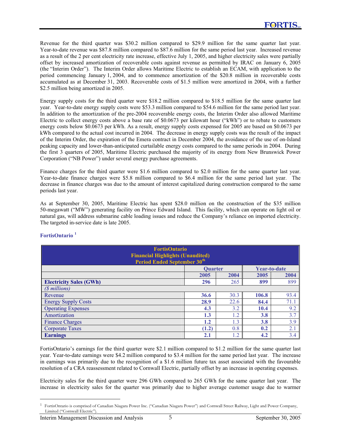Revenue for the third quarter was \$30.2 million compared to \$29.9 million for the same quarter last year. Year-to-date revenue was \$87.8 million compared to \$87.6 million for the same period last year. Increased revenue as a result of the 2 per cent electricity rate increase, effective July 1, 2005, and higher electricity sales were partially offset by increased amortization of recoverable costs against revenue as permitted by IRAC on January 6, 2005 (the "Interim Order"). The Interim Order allows Maritime Electric to establish an ECAM, with application to the period commencing January 1, 2004, and to commence amortization of the \$20.8 million in recoverable costs accumulated as at December 31, 2003. Recoverable costs of \$1.5 million were amortized in 2004, with a further \$2.5 million being amortized in 2005.

Energy supply costs for the third quarter were \$18.2 million compared to \$18.5 million for the same quarter last year. Year-to-date energy supply costs were \$53.3 million compared to \$54.6 million for the same period last year. In addition to the amortization of the pre-2004 recoverable energy costs, the Interim Order also allowed Maritime Electric to collect energy costs above a base rate of \$0.0673 per kilowatt hour ("kWh") or to rebate to customers energy costs below \$0.0673 per kWh. As a result, energy supply costs expensed for 2005 are based on \$0.0673 per kWh compared to the actual cost incurred in 2004. The decrease in energy supply costs was the result of the impact of the Interim Order, the expiration of the Emera contract in December 2004, the avoidance of the use of on-Island peaking capacity and lower-than-anticipated curtailable energy costs compared to the same periods in 2004. During the first 3 quarters of 2005, Maritime Electric purchased the majority of its energy from New Brunswick Power Corporation ("NB Power") under several energy purchase agreements.

Finance charges for the third quarter were \$1.6 million compared to \$2.0 million for the same quarter last year. Year-to-date finance charges were \$5.8 million compared to \$6.4 million for the same period last year. The decrease in finance charges was due to the amount of interest capitalized during construction compared to the same periods last year.

As at September 30, 2005, Maritime Electric has spent \$28.0 million on the construction of the \$35 million 50-megawatt ("MW") generating facility on Prince Edward Island. This facility, which can operate on light oil or natural gas, will address submarine cable loading issues and reduce the Company's reliance on imported electricity. The targeted in-service date is late 2005.

| <b>FortisOntario</b><br><b>Financial Highlights (Unaudited)</b><br><b>Period Ended September 30th</b> |                |      |       |              |
|-------------------------------------------------------------------------------------------------------|----------------|------|-------|--------------|
|                                                                                                       | <b>Ouarter</b> |      |       | Year-to-date |
|                                                                                                       | 2005           | 2004 | 2005  | 2004         |
| <b>Electricity Sales (GWh)</b>                                                                        | 296            | 265  | 899   | 899          |
| (\$ millions)                                                                                         |                |      |       |              |
| Revenue                                                                                               | 36.6           | 30.3 | 106.8 | 93.4         |
| <b>Energy Supply Costs</b>                                                                            | 28.9           | 22.6 | 84.4  | 71.1         |
| <b>Operating Expenses</b>                                                                             | 4.3            | 3.2  | 10.4  | 9.2          |
| Amortization                                                                                          | 1.3            | 1.2  | 3.8   | 3.7          |
| <b>Finance Charges</b>                                                                                | 1.2            | 1.3  | 3.8   | 3.9          |
| <b>Corporate Taxes</b>                                                                                | (1.2)          | 0.8  | 0.2   | 2.1          |
| <b>Earnings</b>                                                                                       | 2.1            | 1.2  | 4.2   | 3.4          |

## **FortisOntario <sup>1</sup>**

FortisOntario's earnings for the third quarter were \$2.1 million compared to \$1.2 million for the same quarter last year. Year-to-date earnings were \$4.2 million compared to \$3.4 million for the same period last year. The increase in earnings was primarily due to the recognition of a \$1.6 million future tax asset associated with the favourable resolution of a CRA reassessment related to Cornwall Electric, partially offset by an increase in operating expenses.

Electricity sales for the third quarter were 296 GWh compared to 265 GWh for the same quarter last year. The increase in electricity sales for the quarter was primarily due to higher average customer usage due to warmer

<sup>1</sup> FortisOntario is comprised of Canadian Niagara Power Inc. ("Canadian Niagara Power") and Cornwall Street Railway, Light and Power Company, Limited ("Cornwall Electric").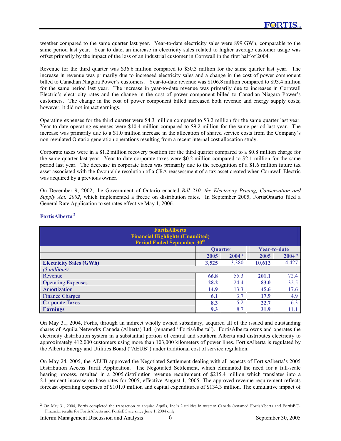weather compared to the same quarter last year. Year-to-date electricity sales were 899 GWh, comparable to the same period last year. Year to date, an increase in electricity sales related to higher average customer usage was offset primarily by the impact of the loss of an industrial customer in Cornwall in the first half of 2004.

Revenue for the third quarter was \$36.6 million compared to \$30.3 million for the same quarter last year. The increase in revenue was primarily due to increased electricity sales and a change in the cost of power component billed to Canadian Niagara Power's customers. Year-to-date revenue was \$106.8 million compared to \$93.4 million for the same period last year. The increase in year-to-date revenue was primarily due to increases in Cornwall Electric's electricity rates and the change in the cost of power component billed to Canadian Niagara Power's customers. The change in the cost of power component billed increased both revenue and energy supply costs; however, it did not impact earnings.

Operating expenses for the third quarter were \$4.3 million compared to \$3.2 million for the same quarter last year. Year-to-date operating expenses were \$10.4 million compared to \$9.2 million for the same period last year. The increase was primarily due to a \$1.0 million increase in the allocation of shared service costs from the Company's non-regulated Ontario generation operations resulting from a recent internal cost allocation study.

Corporate taxes were in a \$1.2 million recovery position for the third quarter compared to a \$0.8 million charge for the same quarter last year. Year-to-date corporate taxes were \$0.2 million compared to \$2.1 million for the same period last year. The decrease in corporate taxes was primarily due to the recognition of a \$1.6 million future tax asset associated with the favourable resolution of a CRA reassessment of a tax asset created when Cornwall Electric was acquired by a previous owner.

On December 9, 2002, the Government of Ontario enacted *Bill 210, the Electricity Pricing, Conservation and Supply Act, 2002*, which implemented a freeze on distribution rates. In September 2005, FortisOntario filed a General Rate Application to set rates effective May 1, 2006.

| <b>FortisAlberta</b><br><b>Financial Highlights (Unaudited)</b><br><b>Period Ended September 30th</b> |                |                   |              |                   |
|-------------------------------------------------------------------------------------------------------|----------------|-------------------|--------------|-------------------|
|                                                                                                       | <b>Ouarter</b> |                   | Year-to-date |                   |
|                                                                                                       | 2005           | 2004 <sup>2</sup> | 2005         | 2004 <sup>2</sup> |
| <b>Electricity Sales (GWh)</b>                                                                        | 3,525          | 3,380             | 10,612       | 4,427             |
| (\$ millions)                                                                                         |                |                   |              |                   |
| Revenue                                                                                               | 66.8           | 55.3              | 201.1        | 72.4              |
| <b>Operating Expenses</b>                                                                             | 28.2           | 24.4              | 83.0         | 32.5              |
| Amortization                                                                                          | 14.9           | 13.3              | 45.6         | 17.6              |
| <b>Finance Charges</b>                                                                                | 6.1            | 3.7               | 17.9         | 4.9               |
| <b>Corporate Taxes</b>                                                                                | 8.3            | 5.2               | 22.7         | 6.3               |
| <b>Earnings</b>                                                                                       | 9.3            | 8.7               | 31.9         | 11.1              |

# **FortisAlberta<sup>2</sup>**

On May 31, 2004, Fortis, through an indirect wholly owned subsidiary, acquired all of the issued and outstanding shares of Aquila Networks Canada (Alberta) Ltd. (renamed "FortisAlberta"). FortisAlberta owns and operates the electricity distribution system in a substantial portion of central and southern Alberta and distributes electricity to approximately 412,000 customers using more than 103,000 kilometers of power lines. FortisAlberta is regulated by the Alberta Energy and Utilities Board ("AEUB") under traditional cost of service regulation.

On May 24, 2005, the AEUB approved the Negotiated Settlement dealing with all aspects of FortisAlberta's 2005 Distribution Access Tariff Application. The Negotiated Settlement, which eliminated the need for a full-scale hearing process, resulted in a 2005 distribution revenue requirement of \$215.4 million which translates into a 2.1 per cent increase on base rates for 2005, effective August 1, 2005. The approved revenue requirement reflects forecast operating expenses of \$101.0 million and capital expenditures of \$134.3 million. The cumulative impact of

<sup>2</sup> On May 31, 2004, Fortis completed the transaction to acquire Aquila, Inc.'s 2 utilities in western Canada (renamed FortisAlberta and FortisBC). Financial results for FortisAlberta and FortisBC are since June 1, 2004 only.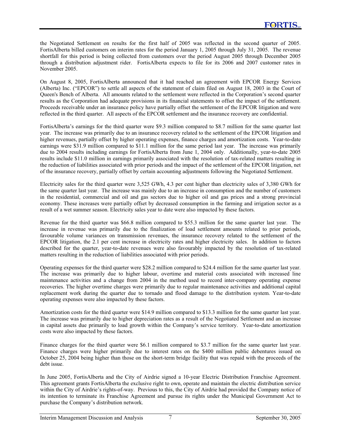the Negotiated Settlement on results for the first half of 2005 was reflected in the second quarter of 2005. FortisAlberta billed customers on interim rates for the period January 1, 2005 through July 31, 2005. The revenue shortfall for this period is being collected from customers over the period August 2005 through December 2005 through a distribution adjustment rider. FortisAlberta expects to file for its 2006 and 2007 customer rates in November 2005.

On August 8, 2005, FortisAlberta announced that it had reached an agreement with EPCOR Energy Services (Alberta) Inc. ("EPCOR") to settle all aspects of the statement of claim filed on August 18, 2003 in the Court of Queen's Bench of Alberta. All amounts related to the settlement were reflected in the Corporation's second quarter results as the Corporation had adequate provisions in its financial statements to offset the impact of the settlement. Proceeds receivable under an insurance policy have partially offset the settlement of the EPCOR litigation and were reflected in the third quarter. All aspects of the EPCOR settlement and the insurance recovery are confidential.

FortisAlberta's earnings for the third quarter were \$9.3 million compared to \$8.7 million for the same quarter last year. The increase was primarily due to an insurance recovery related to the settlement of the EPCOR litigation and higher revenues, partially offset by higher operating expenses, finance charges and amortization costs. Year-to-date earnings were \$31.9 million compared to \$11.1 million for the same period last year. The increase was primarily due to 2004 results including earnings for FortisAlberta from June 1, 2004 only. Additionally, year-to-date 2005 results include \$11.0 million in earnings primarily associated with the resolution of tax-related matters resulting in the reduction of liabilities associated with prior periods and the impact of the settlement of the EPCOR litigation, net of the insurance recovery, partially offset by certain accounting adjustments following the Negotiated Settlement.

Electricity sales for the third quarter were 3,525 GWh, 4.3 per cent higher than electricity sales of 3,380 GWh for the same quarter last year. The increase was mainly due to an increase in consumption and the number of customers in the residential, commercial and oil and gas sectors due to higher oil and gas prices and a strong provincial economy. These increases were partially offset by decreased consumption in the farming and irrigation sector as a result of a wet summer season. Electricity sales year to date were also impacted by these factors.

Revenue for the third quarter was \$66.8 million compared to \$55.3 million for the same quarter last year. The increase in revenue was primarily due to the finalization of load settlement amounts related to prior periods, favourable volume variances on transmission revenues, the insurance recovery related to the settlement of the EPCOR litigation, the 2.1 per cent increase in electricity rates and higher electricity sales. In addition to factors described for the quarter, year-to-date revenues were also favourably impacted by the resolution of tax-related matters resulting in the reduction of liabilities associated with prior periods.

Operating expenses for the third quarter were \$28.2 million compared to \$24.4 million for the same quarter last year. The increase was primarily due to higher labour, overtime and material costs associated with increased line maintenance activities and a change from 2004 in the method used to record inter-company operating expense recoveries. The higher overtime charges were primarily due to regular maintenance activities and additional capital replacement work during the quarter due to tornado and flood damage to the distribution system. Year-to-date operating expenses were also impacted by these factors.

Amortization costs for the third quarter were \$14.9 million compared to \$13.3 million for the same quarter last year. The increase was primarily due to higher depreciation rates as a result of the Negotiated Settlement and an increase in capital assets due primarily to load growth within the Company's service territory. Year-to-date amortization costs were also impacted by these factors.

Finance charges for the third quarter were \$6.1 million compared to \$3.7 million for the same quarter last year. Finance charges were higher primarily due to interest rates on the \$400 million public debentures issued on October 25, 2004 being higher than those on the short-term bridge facility that was repaid with the proceeds of the debt issue.

In June 2005, FortisAlberta and the City of Airdrie signed a 10-year Electric Distribution Franchise Agreement. This agreement grants FortisAlberta the exclusive right to own, operate and maintain the electric distribution service within the City of Airdrie's rights-of-way. Previous to this, the City of Airdrie had provided the Company notice of its intention to terminate its Franchise Agreement and pursue its rights under the Municipal Government Act to purchase the Company's distribution network.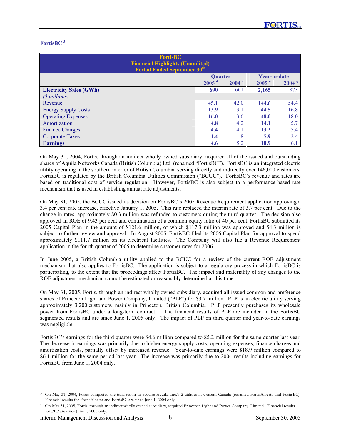# **FortisBC 3**

| <b>FortisBC</b><br><b>Financial Highlights (Unaudited)</b><br>Period Ended September 30 <sup>th</sup> |                   |                   |                   |                   |
|-------------------------------------------------------------------------------------------------------|-------------------|-------------------|-------------------|-------------------|
|                                                                                                       | <b>Ouarter</b>    |                   | Year-to-date      |                   |
|                                                                                                       | 2005 <sup>4</sup> | 2004 <sup>3</sup> | 2005 <sup>4</sup> | 2004 <sup>3</sup> |
| <b>Electricity Sales (GWh)</b>                                                                        | 690               | 661               | 2,165             | 873               |
| (\$ millions)                                                                                         |                   |                   |                   |                   |
| Revenue                                                                                               | 45.1              | 42.0              | 144.6             | 54.4              |
| <b>Energy Supply Costs</b>                                                                            | 13.9              | 13.1              | 44.5              | 16.8              |
| <b>Operating Expenses</b>                                                                             | 16.0              | 13.6              | 48.0              | 18.0              |
| Amortization                                                                                          | 4.8               | 4.2               | 14.1              | 5.7               |
| <b>Finance Charges</b>                                                                                | 4.4               | 4.1               | 13.2              | 5.4               |
| <b>Corporate Taxes</b>                                                                                | 1.4               | 1.8               | 5.9               | 2.4               |
| <b>Earnings</b>                                                                                       | 4.6               | 5.2               | 18.9              | 6.1               |

On May 31, 2004, Fortis, through an indirect wholly owned subsidiary, acquired all of the issued and outstanding shares of Aquila Networks Canada (British Columbia) Ltd. (renamed "FortisBC"). FortisBC is an integrated electric utility operating in the southern interior of British Columbia, serving directly and indirectly over 146,000 customers. FortisBC is regulated by the British Columbia Utilities Commission ("BCUC"). FortisBC's revenue and rates are based on traditional cost of service regulation. However, FortisBC is also subject to a performance-based rate mechanism that is used in establishing annual rate adjustments.

On May 31, 2005, the BCUC issued its decision on FortisBC's 2005 Revenue Requirement application approving a 3.4 per cent rate increase, effective January 1, 2005. This rate replaced the interim rate of 3.7 per cent. Due to the change in rates, approximately \$0.3 million was refunded to customers during the third quarter. The decision also approved an ROE of 9.43 per cent and continuation of a common equity ratio of 40 per cent. FortisBC submitted its 2005 Capital Plan in the amount of \$121.6 million, of which \$117.3 million was approved and \$4.3 million is subject to further review and approval. In August 2005, FortisBC filed its 2006 Capital Plan for approval to spend approximately \$111.7 million on its electrical facilities. The Company will also file a Revenue Requirement application in the fourth quarter of 2005 to determine customer rates for 2006.

In June 2005, a British Columbia utility applied to the BCUC for a review of the current ROE adjustment mechanism that also applies to FortisBC. The application is subject to a regulatory process in which FortisBC is participating, to the extent that the proceedings affect FortisBC. The impact and materiality of any changes to the ROE adjustment mechanism cannot be estimated or reasonably determined at this time.

On May 31, 2005, Fortis, through an indirect wholly owned subsidiary, acquired all issued common and preference shares of Princeton Light and Power Company, Limited ("PLP") for \$3.7 million. PLP is an electric utility serving approximately 3,200 customers, mainly in Princeton, British Columbia. PLP presently purchases its wholesale power from FortisBC under a long-term contract. The financial results of PLP are included in the FortisBC segmented results and are since June 1, 2005 only. The impact of PLP on third quarter and year-to-date earnings was negligible.

FortisBC's earnings for the third quarter were \$4.6 million compared to \$5.2 million for the same quarter last year. The decrease in earnings was primarily due to higher energy supply costs, operating expenses, finance charges and amortization costs, partially offset by increased revenue. Year-to-date earnings were \$18.9 million compared to \$6.1 million for the same period last year. The increase was primarily due to 2004 results including earnings for FortisBC from June 1, 2004 only.

<sup>3</sup> On May 31, 2004, Fortis completed the transaction to acquire Aquila, Inc.'s 2 utilities in western Canada (renamed FortisAlberta and FortisBC). Financial results for FortisAlberta and FortisBC are since June 1, 2004 only.

<sup>&</sup>lt;sup>4</sup> On May 31, 2005, Fortis, through an indirect wholly owned subsidiary, acquired Princeton Light and Power Company, Limited. Financial results for PLP are since June 1, 2005 only.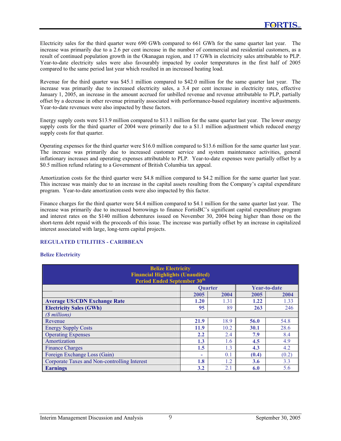Electricity sales for the third quarter were 690 GWh compared to 661 GWh for the same quarter last year. The increase was primarily due to a 2.6 per cent increase in the number of commercial and residential customers, as a result of continued population growth in the Okanagan region, and 17 GWh in electricity sales attributable to PLP. Year-to-date electricity sales were also favourably impacted by cooler temperatures in the first half of 2005 compared to the same period last year which resulted in an increased heating load.

Revenue for the third quarter was \$45.1 million compared to \$42.0 million for the same quarter last year. The increase was primarily due to increased electricity sales, a 3.4 per cent increase in electricity rates, effective January 1, 2005, an increase in the amount accrued for unbilled revenue and revenue attributable to PLP, partially offset by a decrease in other revenue primarily associated with performance-based regulatory incentive adjustments. Year-to-date revenues were also impacted by these factors.

Energy supply costs were \$13.9 million compared to \$13.1 million for the same quarter last year. The lower energy supply costs for the third quarter of 2004 were primarily due to a \$1.1 million adjustment which reduced energy supply costs for that quarter.

Operating expenses for the third quarter were \$16.0 million compared to \$13.6 million for the same quarter last year. The increase was primarily due to increased customer service and system maintenance activities, general inflationary increases and operating expenses attributable to PLP. Year-to-date expenses were partially offset by a \$0.5 million refund relating to a Government of British Columbia tax appeal.

Amortization costs for the third quarter were \$4.8 million compared to \$4.2 million for the same quarter last year. This increase was mainly due to an increase in the capital assets resulting from the Company's capital expenditure program. Year-to-date amortization costs were also impacted by this factor.

Finance charges for the third quarter were \$4.4 million compared to \$4.1 million for the same quarter last year. The increase was primarily due to increased borrowings to finance FortisBC's significant capital expenditure program and interest rates on the \$140 million debentures issued on November 30, 2004 being higher than those on the short-term debt repaid with the proceeds of this issue. The increase was partially offset by an increase in capitalized interest associated with large, long-term capital projects.

## **REGULATED UTILITIES - CARIBBEAN**

## **Belize Electricity**

| <b>Belize Electricity</b><br><b>Financial Highlights (Unaudited)</b><br><b>Period Ended September 30th</b> |      |                |             |              |
|------------------------------------------------------------------------------------------------------------|------|----------------|-------------|--------------|
|                                                                                                            |      | <b>Ouarter</b> |             | Year-to-date |
|                                                                                                            | 2005 | 2004           | 2005        | 2004         |
| <b>Average US:CDN Exchange Rate</b>                                                                        | 1.20 | 1.31           | 1.22        | 1.33         |
| <b>Electricity Sales (GWh)</b>                                                                             | 95   | 89             | 263         | 246          |
| ( <i>S</i> millions)                                                                                       |      |                |             |              |
| Revenue                                                                                                    | 21.9 | 18.9           | 56.0        | 54.8         |
| <b>Energy Supply Costs</b>                                                                                 | 11.9 | 10.2           | <b>30.1</b> | 28.6         |
| <b>Operating Expenses</b>                                                                                  | 2.2  | 2.4            | 7.9         | 8.4          |
| Amortization                                                                                               | 1.3  | 1.6            | 4.5         | 4.9          |
| <b>Finance Charges</b>                                                                                     | 1.5  | 1.3            | 4.3         | 4.2          |
| Foreign Exchange Loss (Gain)                                                                               | ۰    | 0.1            | (0.4)       | (0.2)        |
| Corporate Taxes and Non-controlling Interest                                                               | 1.8  | 1.2            | 3.6         | 3.3          |
| <b>Earnings</b>                                                                                            | 3.2  | 2.1            | 6.0         | 5.6          |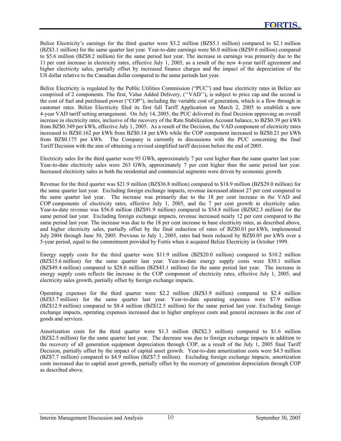Belize Electricity's earnings for the third quarter were \$3.2 million (BZ\$5.1 million) compared to \$2.1 million (BZ\$3.1 million) for the same quarter last year. Year-to-date earnings were \$6.0 million (BZ\$9.6 million) compared to \$5.6 million (BZ\$8.2 million) for the same period last year. The increase in earnings was primarily due to the 11 per cent increase in electricity rates, effective July 1, 2005, as a result of the new 4-year tariff agreement and higher electricity sales, partially offset by increased finance charges and the impact of the depreciation of the US dollar relative to the Canadian dollar compared to the same periods last year.

Belize Electricity is regulated by the Public Utilities Commission ("PUC") and base electricity rates in Belize are comprised of 2 components. The first, Value Added Delivery, (''VAD''), is subject to price cap and the second is the cost of fuel and purchased power ("COP"), including the variable cost of generation, which is a flow through in customer rates. Belize Electricity filed its first full Tariff Application on March 2, 2005 to establish a new 4-year VAD tariff setting arrangement. On July 14, 2005, the PUC delivered its final Decision approving an overall increase in electricity rates, inclusive of the recovery of the Rate Stabilization Account balance, to BZ\$0.39 per kWh from BZ\$0.349 per kWh, effective July 1, 2005. As a result of the Decision, the VAD component of electricity rates increased to BZ\$0.162 per kWh from BZ\$0.14 per kWh while the COP component increased to BZ\$0.21 per kWh from BZ\$0.175 per kWh. The Company is currently in discussions with the PUC concerning the final Tariff Decision with the aim of obtaining a revised simplified tariff decision before the end of 2005.

Electricity sales for the third quarter were 95 GWh, approximately 7 per cent higher than the same quarter last year. Year-to-date electricity sales were 263 GWh, approximately 7 per cent higher than the same period last year. Increased electricity sales in both the residential and commercial segments were driven by economic growth.

Revenue for the third quarter was \$21.9 million (BZ\$36.8 million) compared to \$18.9 million (BZ\$29.0 million) for the same quarter last year. Excluding foreign exchange impacts, revenue increased almost 27 per cent compared to the same quarter last year. The increase was primarily due to the 18 per cent increase in the VAD and COP components of electricity rates, effective July 1, 2005, and the 7 per cent growth in electricity sales. Year-to-date revenue was \$56.0 million (BZ\$91.9 million) compared to \$54.8 million (BZ\$82.3 million) for the same period last year. Excluding foreign exchange impacts, revenue increased nearly 12 per cent compared to the same period last year. The increase was due to the 18 per cent increase in base electricity rates, as described above, and higher electricity sales, partially offset by the final reduction of rates of BZ\$0.01 per kWh, implemented July 2004 through June 30, 2005. Previous to July 1, 2005, rates had been reduced by BZ\$0.05 per kWh over a 5-year period, equal to the commitment provided by Fortis when it acquired Belize Electricity in October 1999.

Energy supply costs for the third quarter were \$11.9 million (BZ\$20.0 million) compared to \$10.2 million (BZ\$15.6 million) for the same quarter last year. Year-to-date energy supply costs were \$30.1 million (BZ\$49.4 million) compared to \$28.6 million (BZ\$43.1 million) for the same period last year. The increase in energy supply costs reflects the increase in the COP component of electricity rates, effective July 1, 2005, and electricity sales growth, partially offset by foreign exchange impacts.

Operating expenses for the third quarter were \$2.2 million (BZ\$3.9 million) compared to \$2.4 million (BZ\$3.7 million) for the same quarter last year. Year-to-date operating expenses were \$7.9 million (BZ\$12.9 million) compared to \$8.4 million (BZ\$12.5 million) for the same period last year. Excluding foreign exchange impacts, operating expenses increased due to higher employee costs and general increases in the cost of goods and services.

Amortization costs for the third quarter were \$1.3 million (BZ\$2.3 million) compared to \$1.6 million (BZ\$2.5 million) for the same quarter last year. The decrease was due to foreign exchange impacts in addition to the recovery of all generation equipment depreciation through COP, as a result of the July 1, 2005 final Tariff Decision, partially offset by the impact of capital asset growth. Year-to-date amortization costs were \$4.5 million (BZ\$7.7 million) compared to \$4.9 million (BZ\$7.5 million). Excluding foreign exchange impacts, amortization costs increased due to capital asset growth, partially offset by the recovery of generation depreciation through COP as described above.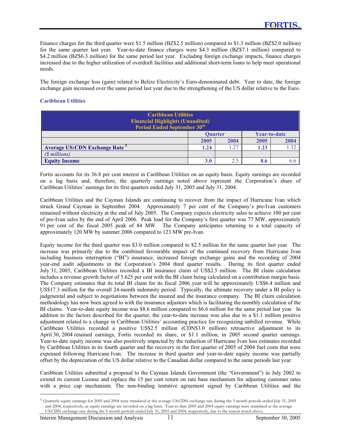Finance charges for the third quarter were \$1.5 million (BZ\$2.5 million) compared to \$1.3 million (BZ\$2.0 million) for the same quarter last year. Year-to-date finance charges were \$4.3 million (BZ\$7.1 million) compared to \$4.2 million (BZ\$6.3 million) for the same period last year. Excluding foreign exchange impacts, finance charges increased due to the higher utilization of overdraft facilities and additional short-term loans to help meet operational needs.

The foreign exchange loss (gain) related to Belize Electricity's Euro-denominated debt. Year to date, the foreign exchange gain increased over the same period last year due to the strengthening of the US dollar relative to the Euro.

## **Caribbean Utilities**

| <b>Caribbean Utilities</b><br><b>Financial Highlights (Unaudited)</b><br><b>Period Ended September 30th</b> |                                |      |      |      |
|-------------------------------------------------------------------------------------------------------------|--------------------------------|------|------|------|
|                                                                                                             | Year-to-date<br><b>Ouarter</b> |      |      |      |
|                                                                                                             | 2005                           | 2004 | 2005 | 2004 |
| <b>Average US:CDN Exchange Rate<sup>5</sup></b>                                                             | 1.24                           | 1.27 | 1.23 | 1.32 |
| (\$ millions)                                                                                               |                                |      |      |      |
| <b>Equity Income</b>                                                                                        | <b>3.0</b>                     | 2.5  | 8.6  |      |

Fortis accounts for its 36.8 per cent interest in Caribbean Utilities on an equity basis. Equity earnings are recorded on a lag basis and, therefore, the quarterly earnings noted above represent the Corporation's share of Caribbean Utilities' earnings for its first quarters ended July 31, 2005 and July 31, 2004.

Caribbean Utilities and the Cayman Islands are continuing to recover from the impact of Hurricane Ivan which struck Grand Cayman in September 2004. Approximately 7 per cent of the Company's pre-Ivan customers remained without electricity at the end of July 2005. The Company expects electricity sales to achieve 100 per cent of pre-Ivan sales by the end of April 2006. Peak load for the Company's first quarter was 77 MW, approximately 91 per cent of the fiscal 2005 peak of 84 MW. The Company anticipates returning to a total capacity of approximately 120 MW by summer 2006 compared to 123 MW pre-Ivan.

Equity income for the third quarter was \$3.0 million compared to \$2.5 million for the same quarter last year. The increase was primarily due to the combined favourable impact of the continued recovery from Hurricane Ivan including business interruption ("BI") insurance, increased foreign exchange gains and the recording of 2004 year-end audit adjustments in the Corporation's 2004 third quarter results. During its first quarter ended July 31, 2005, Caribbean Utilities recorded a BI insurance claim of US\$2.5 million. The BI claim calculation includes a revenue growth factor of 5.625 per cent with the BI claim being calculated on a contribution margin basis. The Company estimates that its total BI claim for its fiscal 2006 year will be approximately US\$6.4 million and US\$17.3 million for the overall 24-month indemnity period. Typically, the ultimate recovery under a BI policy is judgmental and subject to negotiations between the insured and the insurance company. The BI claim calculation methodology has now been agreed to with the insurance adjustors which is facilitating the monthly calculation of the BI claims. Year-to-date equity income was \$8.6 million compared to \$6.6 million for the same period last year. In addition to the factors described for the quarter, the year-to-date increase was also due to a \$1.1 million positive adjustment related to a change in Caribbean Utilities' accounting practice for recognizing unbilled revenue. While Caribbean Utilities recorded a positive US\$2.5 million (CDN\$3.0 million) retroactive adjustment to its April 30, 2004 retained earnings, Fortis recorded its share, or \$1.1 million, in 2005 second quarter earnings. Year-to-date equity income was also positively impacted by the reduction of Hurricane Ivan loss estimates recorded by Caribbean Utilities in its fourth quarter and the recovery in the first quarter of 2005 of 2004 fuel costs that were expensed following Hurricane Ivan. The increase in third quarter and year-to-date equity income was partially offset by the depreciation of the US dollar relative to the Canadian dollar compared to the same periods last year.

Caribbean Utilities submitted a proposal to the Cayman Islands Government (the "Government") in July 2002 to extend its current License and replace the 15 per cent return on rate base mechanism for adjusting customer rates with a price cap mechanism. The non-binding tentative agreement signed by Caribbean Utilities and the

<sup>5</sup> Quarterly equity earnings for 2005 and 2004 were translated at the average US:CDN exchange rate during the 3 month periods ended July 31, 2005 and 2004, respectively, as equity earnings are recorded on a lag basis. Year-to-date 2005 and 2004 equity earnings were translated at the average US:CDN exchange rate during the 9 month periods ended July 31, 2005 and 2004, respectively, due to the reason noted above.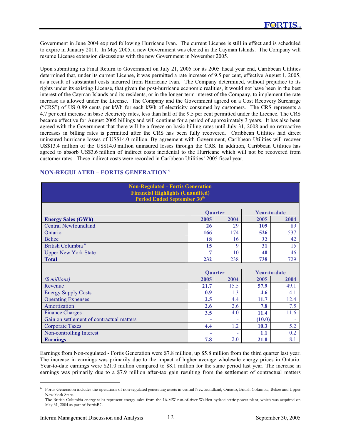Government in June 2004 expired following Hurricane Ivan. The current License is still in effect and is scheduled to expire in January 2011. In May 2005, a new Government was elected in the Cayman Islands. The Company will resume License extension discussions with the new Government in November 2005.

Upon submitting its Final Return to Government on July 21, 2005 for its 2005 fiscal year end, Caribbean Utilities determined that, under its current License, it was permitted a rate increase of 9.5 per cent, effective August 1, 2005, as a result of substantial costs incurred from Hurricane Ivan. The Company determined, without prejudice to its rights under its existing License, that given the post-hurricane economic realities, it would not have been in the best interest of the Cayman Islands and its residents, or in the longer-term interest of the Company, to implement the rate increase as allowed under the License. The Company and the Government agreed on a Cost Recovery Surcharge ("CRS") of US 0.89 cents per kWh for each kWh of electricity consumed by customers. The CRS represents a 4.7 per cent increase in base electricity rates, less than half of the 9.5 per cent permitted under the Licence. The CRS became effective for August 2005 billings and will continue for a period of approximately 3 years. It has also been agreed with the Government that there will be a freeze on basic billing rates until July 31, 2008 and no retroactive increases in billing rates is permitted after the CRS has been fully recovered. Caribbean Utilities had direct uninsured hurricane losses of US\$14.0 million. By agreement with Government, Caribbean Utilities will recover US\$13.4 million of the US\$14.0 million uninsured losses through the CRS. In addition, Caribbean Utilities has agreed to absorb US\$3.6 million of indirect costs incidental to the Hurricane which will not be recovered from customer rates. These indirect costs were recorded in Caribbean Utilities' 2005 fiscal year.

| <b>Non-Regulated - Fortis Generation</b><br><b>Financial Highlights (Unaudited)</b><br><b>Period Ended September 30th</b> |      |                |                     |      |
|---------------------------------------------------------------------------------------------------------------------------|------|----------------|---------------------|------|
|                                                                                                                           |      | <b>Ouarter</b> | <b>Year-to-date</b> |      |
| <b>Energy Sales (GWh)</b>                                                                                                 | 2005 | 2004           | 2005                | 2004 |
| <b>Central Newfoundland</b>                                                                                               | 26   | 29             | 109                 | 89   |
| Ontario                                                                                                                   | 166  | 174            | 526                 | 537  |
| <b>Belize</b>                                                                                                             | 18   | 16             | 32                  | 42   |
| British Columbia <sup>6</sup>                                                                                             | 15   | 9              | 31                  | 15   |
| <b>Upper New York State</b>                                                                                               | 7    | 10             | 40                  | 46   |
| <b>Total</b>                                                                                                              | 232  | 238            | 738                 | 729  |
|                                                                                                                           |      |                |                     |      |
|                                                                                                                           |      | <b>Quarter</b> | <b>Year-to-date</b> |      |
| (\$ millions)                                                                                                             | 2005 | 2004           | 2005                | 2004 |
| Revenue                                                                                                                   | 21.7 | 15.5           | 57.9                | 49.1 |
| <b>Energy Supply Costs</b>                                                                                                | 0.9  | 1.3            | 4.6                 | 4.1  |
| <b>Operating Expenses</b>                                                                                                 | 2.5  | 4.4            | 11.7                | 12.4 |
| Amortization                                                                                                              | 2.6  | 2.6            | 7.8                 | 7.5  |
| <b>Finance Charges</b>                                                                                                    | 3.5  | 4.0            | 11.4                | 11.6 |
| Gain on settlement of contractual matters                                                                                 |      |                | (10.0)              |      |
| <b>Corporate Taxes</b>                                                                                                    | 4.4  | 1.2            | 10.3                | 5.2  |
| Non-controlling Interest                                                                                                  | ۰    |                | 1.1                 | 0.2  |
| <b>Earnings</b>                                                                                                           | 7.8  | 2.0            | 21.0                | 8.1  |

# **NON-REGULATED – FORTIS GENERATION <sup>6</sup>**

Earnings from Non-regulated - Fortis Generation were \$7.8 million, up \$5.8 million from the third quarter last year. The increase in earnings was primarily due to the impact of higher average wholesale energy prices in Ontario. Year-to-date earnings were \$21.0 million compared to \$8.1 million for the same period last year. The increase in earnings was primarily due to a \$7.9 million after-tax gain resulting from the settlement of contractual matters

<sup>6</sup> Fortis Generation includes the operations of non-regulated generating assets in central Newfoundland, Ontario, British Columbia, Belize and Upper New York State.

The British Columbia energy sales represent energy sales from the 16-MW run-of-river Walden hydroelectric power plant, which was acquired on May 31, 2004 as part of FortisBC.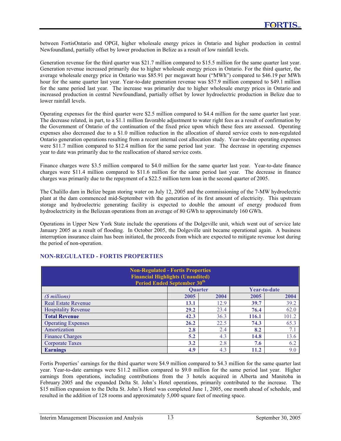between FortisOntario and OPGI, higher wholesale energy prices in Ontario and higher production in central Newfoundland, partially offset by lower production in Belize as a result of low rainfall levels.

Generation revenue for the third quarter was \$21.7 million compared to \$15.5 million for the same quarter last year. Generation revenue increased primarily due to higher wholesale energy prices in Ontario. For the third quarter, the average wholesale energy price in Ontario was \$85.91 per megawatt hour ("MWh") compared to \$46.19 per MWh hour for the same quarter last year. Year-to-date generation revenue was \$57.9 million compared to \$49.1 million for the same period last year. The increase was primarily due to higher wholesale energy prices in Ontario and increased production in central Newfoundland, partially offset by lower hydroelectric production in Belize due to lower rainfall levels.

Operating expenses for the third quarter were \$2.5 million compared to \$4.4 million for the same quarter last year. The decrease related, in part, to a \$1.1 million favorable adjustment to water right fees as a result of confirmation by the Government of Ontario of the continuation of the fixed price upon which these fees are assessed. Operating expenses also decreased due to a \$1.0 million reduction in the allocation of shared service costs to non-regulated Ontario generation operations resulting from a recent internal cost allocation study. Year-to-date operating expenses were \$11.7 million compared to \$12.4 million for the same period last year. The decrease in operating expenses year to date was primarily due to the reallocation of shared service costs.

Finance charges were \$3.5 million compared to \$4.0 million for the same quarter last year. Year-to-date finance charges were \$11.4 million compared to \$11.6 million for the same period last year. The decrease in finance charges was primarily due to the repayment of a \$22.5 million term loan in the second quarter of 2005.

The Chalillo dam in Belize began storing water on July 12, 2005 and the commissioning of the 7-MW hydroelectric plant at the dam commenced mid-September with the generation of its first amount of electricity. This upstream storage and hydroelectric generating facility is expected to double the amount of energy produced from hydroelectricity in the Belizean operations from an average of 80 GWh to approximately 160 GWh.

Operations in Upper New York State include the operations of the Dolgeville unit, which went out of service late January 2005 as a result of flooding. In October 2005, the Dolgeville unit became operational again. A business interruption insurance claim has been initiated, the proceeds from which are expected to mitigate revenue lost during the period of non-operation.

| <b>Non-Regulated - Fortis Properties</b><br><b>Financial Highlights (Unaudited)</b><br><b>Period Ended September 30th</b> |                |      |              |       |
|---------------------------------------------------------------------------------------------------------------------------|----------------|------|--------------|-------|
|                                                                                                                           | <b>Ouarter</b> |      | Year-to-date |       |
| (\$ millions)                                                                                                             | 2005           | 2004 | 2005         | 2004  |
| <b>Real Estate Revenue</b>                                                                                                | 13.1           | 12.9 | 39.7         | 39.2  |
| <b>Hospitality Revenue</b>                                                                                                | 29.2           | 23.4 | 76.4         | 62.0  |
| <b>Total Revenue</b>                                                                                                      | 42.3           | 36.3 | 116.1        | 101.2 |
| <b>Operating Expenses</b>                                                                                                 | 26.2           | 22.5 | 74.3         | 65.3  |
| Amortization                                                                                                              | 2.8            | 2.4  | 8.2          | 7.1   |
| <b>Finance Charges</b>                                                                                                    | 5.2            | 4.3  | 14.8         | 13.6  |
| <b>Corporate Taxes</b>                                                                                                    | 3.2            | 2.8  | 7.6          | 6.2   |
| <b>Earnings</b>                                                                                                           | 4.9            | 4.3  | 11.2         | 9.0   |

# **NON-REGULATED - FORTIS PROPERTIES**

Fortis Properties' earnings for the third quarter were \$4.9 million compared to \$4.3 million for the same quarter last year. Year-to-date earnings were \$11.2 million compared to \$9.0 million for the same period last year. Higher earnings from operations, including contributions from the 3 hotels acquired in Alberta and Manitoba in February 2005 and the expanded Delta St. John's Hotel operations, primarily contributed to the increase. The \$15 million expansion to the Delta St. John's Hotel was completed June 1, 2005, one month ahead of schedule, and resulted in the addition of 128 rooms and approximately 5,000 square feet of meeting space.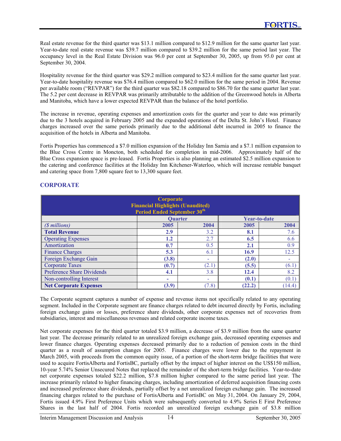Real estate revenue for the third quarter was \$13.1 million compared to \$12.9 million for the same quarter last year. Year-to-date real estate revenue was \$39.7 million compared to \$39.2 million for the same period last year. The occupancy level in the Real Estate Division was 96.0 per cent at September 30, 2005, up from 95.0 per cent at September 30, 2004.

Hospitality revenue for the third quarter was \$29.2 million compared to \$23.4 million for the same quarter last year. Year-to-date hospitality revenue was \$76.4 million compared to \$62.0 million for the same period in 2004. Revenue per available room ("REVPAR") for the third quarter was \$82.18 compared to \$86.70 for the same quarter last year. The 5.2 per cent decrease in REVPAR was primarily attributable to the addition of the Greenwood hotels in Alberta and Manitoba, which have a lower expected REVPAR than the balance of the hotel portfolio.

The increase in revenue, operating expenses and amortization costs for the quarter and year to date was primarily due to the 3 hotels acquired in February 2005 and the expanded operations of the Delta St. John's Hotel. Finance charges increased over the same periods primarily due to the additional debt incurred in 2005 to finance the acquisition of the hotels in Alberta and Manitoba.

Fortis Properties has commenced a \$7.0 million expansion of the Holiday Inn Sarnia and a \$7.1 million expansion to the Blue Cross Centre in Moncton, both scheduled for completion in mid-2006. Approximately half of the Blue Cross expansion space is pre-leased. Fortis Properties is also planning an estimated \$2.5 million expansion to the catering and conference facilities at the Holiday Inn Kitchener-Waterloo, which will increase rentable banquet and catering space from 7,800 square feet to 13,300 square feet.

| Corporate<br><b>Financial Highlights (Unaudited)</b><br><b>Period Ended September 30th</b> |       |       |        |        |
|--------------------------------------------------------------------------------------------|-------|-------|--------|--------|
| <b>Year-to-date</b><br><b>Ouarter</b>                                                      |       |       |        |        |
| (\$ millions)                                                                              | 2005  | 2004  | 2005   | 2004   |
| <b>Total Revenue</b>                                                                       | 2.9   | 3.2   | 8.1    | 7.6    |
| <b>Operating Expenses</b>                                                                  | 1.2   | 2.7   | 6.5    | 6.6    |
| Amortization                                                                               | 0.7   | 0.5   | 2.1    | 0.9    |
| <b>Finance Charges</b>                                                                     | 5.3   | 6.1   | 16.9   | 12.5   |
| Foreign Exchange Gain                                                                      | (3.8) | ۰     | (2.0)  |        |
| <b>Corporate Taxes</b>                                                                     | (0.7) | (2.1) | (5.5)  | (6.1)  |
| <b>Preference Share Dividends</b>                                                          | 4.1   | 3.8   | 12.4   | 8.2    |
| Non-controlling Interest                                                                   | ٠     | ۰     | (0.1)  | (0.1)  |
| <b>Net Corporate Expenses</b>                                                              | (3.9) | (7.8) | (22.2) | (14.4) |

# **CORPORATE**

The Corporate segment captures a number of expense and revenue items not specifically related to any operating segment. Included in the Corporate segment are finance charges related to debt incurred directly by Fortis, including foreign exchange gains or losses, preference share dividends, other corporate expenses net of recoveries from subsidiaries, interest and miscellaneous revenues and related corporate income taxes.

Net corporate expenses for the third quarter totaled \$3.9 million, a decrease of \$3.9 million from the same quarter last year. The decrease primarily related to an unrealized foreign exchange gain, decreased operating expenses and lower finance charges. Operating expenses decreased primarily due to a reduction of pension costs in the third quarter as a result of assumption changes for 2005. Finance charges were lower due to the repayment in March 2005, with proceeds from the common equity issue, of a portion of the short-term bridge facilities that were used to acquire FortisAlberta and FortisBC, partially offset by the impact of higher interest on the US\$150 million, 10-year 5.74% Senior Unsecured Notes that replaced the remainder of the short-term bridge facilities. Year-to-date net corporate expenses totaled \$22.2 million, \$7.8 million higher compared to the same period last year. The increase primarily related to higher financing charges, including amortization of deferred acquisition financing costs and increased preference share dividends, partially offset by a net unrealized foreign exchange gain. The increased financing charges related to the purchase of FortisAlberta and FortisBC on May 31, 2004. On January 29, 2004, Fortis issued 4.9% First Preference Units which were subsequently converted to 4.9% Series E First Preference Shares in the last half of 2004. Fortis recorded an unrealized foreign exchange gain of \$3.8 million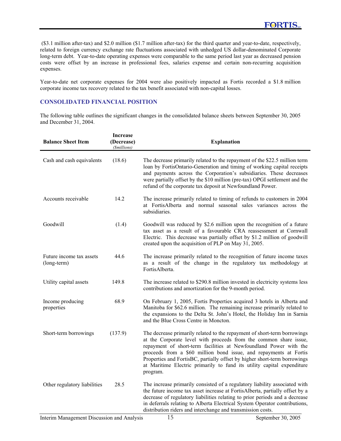(\$3.1 million after-tax) and \$2.0 million (\$1.7 million after-tax) for the third quarter and year-to-date, respectively, related to foreign currency exchange rate fluctuations associated with unhedged US dollar-denominated Corporate long-term debt. Year-to-date operating expenses were comparable to the same period last year as decreased pension costs were offset by an increase in professional fees, salaries expense and certain non-recurring acquisition expenses.

Year-to-date net corporate expenses for 2004 were also positively impacted as Fortis recorded a \$1.8 million corporate income tax recovery related to the tax benefit associated with non-capital losses.

## **CONSOLIDATED FINANCIAL POSITION**

The following table outlines the significant changes in the consolidated balance sheets between September 30, 2005 and December 31, 2004.

| <b>Balance Sheet Item</b>               | <b>Increase</b><br>(Decrease)<br>(\$millions) | <b>Explanation</b>                                                                                                                                                                                                                                                                                                                                                                                                                                         |
|-----------------------------------------|-----------------------------------------------|------------------------------------------------------------------------------------------------------------------------------------------------------------------------------------------------------------------------------------------------------------------------------------------------------------------------------------------------------------------------------------------------------------------------------------------------------------|
| Cash and cash equivalents               | (18.6)                                        | The decrease primarily related to the repayment of the \$22.5 million term<br>loan by FortisOntario-Generation and timing of working capital receipts<br>and payments across the Corporation's subsidiaries. These decreases<br>were partially offset by the \$10 million (pre-tax) OPGI settlement and the<br>refund of the corporate tax deposit at Newfoundland Power.                                                                                  |
| Accounts receivable                     | 14.2                                          | The increase primarily related to timing of refunds to customers in 2004<br>at FortisAlberta and normal seasonal sales variances across the<br>subsidiaries.                                                                                                                                                                                                                                                                                               |
| Goodwill                                | (1.4)                                         | Goodwill was reduced by \$2.6 million upon the recognition of a future<br>tax asset as a result of a favourable CRA reassessment at Cornwall<br>Electric. This decrease was partially offset by \$1.2 million of goodwill<br>created upon the acquisition of PLP on May 31, 2005.                                                                                                                                                                          |
| Future income tax assets<br>(long-term) | 44.6                                          | The increase primarily related to the recognition of future income taxes<br>as a result of the change in the regulatory tax methodology at<br>FortisAlberta.                                                                                                                                                                                                                                                                                               |
| Utility capital assets                  | 149.8                                         | The increase related to \$290.8 million invested in electricity systems less<br>contributions and amortization for the 9-month period.                                                                                                                                                                                                                                                                                                                     |
| Income producing<br>properties          | 68.9                                          | On February 1, 2005, Fortis Properties acquired 3 hotels in Alberta and<br>Manitoba for \$62.6 million. The remaining increase primarily related to<br>the expansions to the Delta St. John's Hotel, the Holiday Inn in Sarnia<br>and the Blue Cross Centre in Moncton.                                                                                                                                                                                    |
| Short-term borrowings                   | (137.9)                                       | The decrease primarily related to the repayment of short-term borrowings<br>at the Corporate level with proceeds from the common share issue,<br>repayment of short-term facilities at Newfoundland Power with the<br>proceeds from a \$60 million bond issue, and repayments at Fortis<br>Properties and FortisBC, partially offset by higher short-term borrowings<br>at Maritime Electric primarily to fund its utility capital expenditure<br>program. |
| Other regulatory liabilities            | 28.5                                          | The increase primarily consisted of a regulatory liability associated with<br>the future income tax asset increase at FortisAlberta, partially offset by a<br>decrease of regulatory liabilities relating to prior periods and a decrease<br>in deferrals relating to Alberta Electrical System Operator contributions,<br>distribution riders and interchange and transmission costs.                                                                     |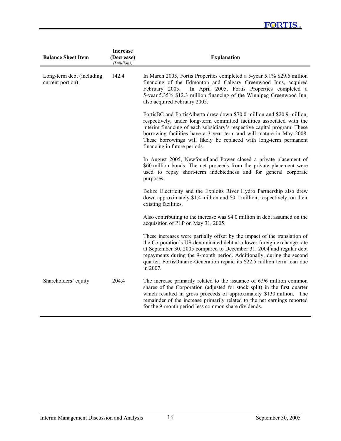# **FORTIS**

| <b>Balance Sheet Item</b>                     | <b>Increase</b><br>(Decrease)<br>( <i><i><u>Smillions</u></i></i> ) | <b>Explanation</b>                                                                                                                                                                                                                                                                                                                                                                                         |
|-----------------------------------------------|---------------------------------------------------------------------|------------------------------------------------------------------------------------------------------------------------------------------------------------------------------------------------------------------------------------------------------------------------------------------------------------------------------------------------------------------------------------------------------------|
| Long-term debt (including<br>current portion) | 142.4                                                               | In March 2005, Fortis Properties completed a 5-year 5.1% \$29.6 million<br>financing of the Edmonton and Calgary Greenwood Inns, acquired<br>In April 2005, Fortis Properties completed a<br>February 2005.<br>5-year 5.35% \$12.3 million financing of the Winnipeg Greenwood Inn,<br>also acquired February 2005.                                                                                        |
|                                               |                                                                     | FortisBC and FortisAlberta drew down \$70.0 million and \$20.9 million,<br>respectively, under long-term committed facilities associated with the<br>interim financing of each subsidiary's respective capital program. These<br>borrowing facilities have a 3-year term and will mature in May 2008.<br>These borrowings will likely be replaced with long-term permanent<br>financing in future periods. |
|                                               |                                                                     | In August 2005, Newfoundland Power closed a private placement of<br>\$60 million bonds. The net proceeds from the private placement were<br>used to repay short-term indebtedness and for general corporate<br>purposes.                                                                                                                                                                                   |
|                                               |                                                                     | Belize Electricity and the Exploits River Hydro Partnership also drew<br>down approximately \$1.4 million and \$0.1 million, respectively, on their<br>existing facilities.                                                                                                                                                                                                                                |
|                                               |                                                                     | Also contributing to the increase was \$4.0 million in debt assumed on the<br>acquisition of PLP on May 31, 2005.                                                                                                                                                                                                                                                                                          |
|                                               |                                                                     | These increases were partially offset by the impact of the translation of<br>the Corporation's US-denominated debt at a lower foreign exchange rate<br>at September 30, 2005 compared to December 31, 2004 and regular debt<br>repayments during the 9-month period. Additionally, during the second<br>quarter, FortisOntario-Generation repaid its \$22.5 million term loan due<br>in 2007.              |
| Shareholders' equity                          | 204.4                                                               | The increase primarily related to the issuance of 6.96 million common<br>shares of the Corporation (adjusted for stock split) in the first quarter<br>which resulted in gross proceeds of approximately \$130 million. The<br>remainder of the increase primarily related to the net earnings reported<br>for the 9-month period less common share dividends.                                              |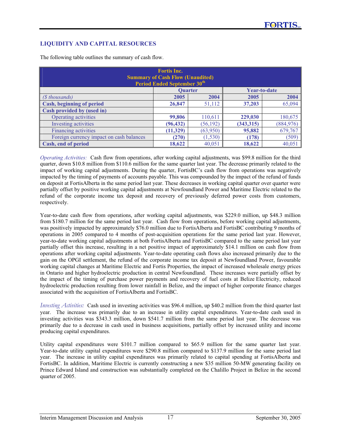# **LIQUIDITY AND CAPITAL RESOURCES**

| <b>Fortis Inc.</b><br><b>Summary of Cash Flow (Unaudited)</b><br>Period Ended September 30 <sup>th</sup> |                |           |              |            |  |  |  |
|----------------------------------------------------------------------------------------------------------|----------------|-----------|--------------|------------|--|--|--|
|                                                                                                          | <b>Ouarter</b> |           | Year-to-date |            |  |  |  |
| (\$ thousands)                                                                                           | 2005           | 2004      | 2005         | 2004       |  |  |  |
| <b>Cash, beginning of period</b>                                                                         | 26,847         | 51,112    | 37,203       | 65,094     |  |  |  |
| Cash provided by (used in)                                                                               |                |           |              |            |  |  |  |
| Operating activities                                                                                     | 99,806         | 110,611   | 229,030      | 180,675    |  |  |  |
| Investing activities                                                                                     | (96, 432)      | (56, 192) | (343, 315)   | (884, 976) |  |  |  |
| <b>Financing activities</b>                                                                              | (11, 329)      | (63,950)  | 95,882       | 679,767    |  |  |  |
| Foreign currency impact on cash balances                                                                 | (270)          | (1,530)   | (178)        | (509)      |  |  |  |
| Cash, end of period                                                                                      | 18,622         | 40,051    | 18,622       | 40,051     |  |  |  |

The following table outlines the summary of cash flow.

*Operating Activities:* Cash flow from operations, after working capital adjustments, was \$99.8 million for the third quarter, down \$10.8 million from \$110.6 million for the same quarter last year. The decrease primarily related to the impact of working capital adjustments. During the quarter, FortisBC's cash flow from operations was negatively impacted by the timing of payments of accounts payable. This was compounded by the impact of the refund of funds on deposit at FortisAlberta in the same period last year. These decreases in working capital quarter over quarter were partially offset by positive working capital adjustments at Newfoundland Power and Maritime Electric related to the refund of the corporate income tax deposit and recovery of previously deferred power costs from customers, respectively.

Year-to-date cash flow from operations, after working capital adjustments, was \$229.0 million, up \$48.3 million from \$180.7 million for the same period last year. Cash flow from operations, before working capital adjustments, was positively impacted by approximately \$76.0 million due to FortisAlberta and FortisBC contributing 9 months of operations in 2005 compared to 4 months of post-acquisition operations for the same period last year. However, year-to-date working capital adjustments at both FortisAlberta and FortisBC compared to the same period last year partially offset this increase, resulting in a net positive impact of approximately \$14.1 million on cash flow from operations after working capital adjustments. Year-to-date operating cash flows also increased primarily due to the gain on the OPGI settlement, the refund of the corporate income tax deposit at Newfoundland Power, favourable working capital changes at Maritime Electric and Fortis Properties, the impact of increased wholesale energy prices in Ontario and higher hydroelectric production in central Newfoundland. These increases were partially offset by the impact of the timing of purchase power payments and recovery of fuel costs at Belize Electricity, reduced hydroelectric production resulting from lower rainfall in Belize, and the impact of higher corporate finance charges associated with the acquisition of FortisAlberta and FortisBC.

*Investing Activities:* Cash used in investing activities was \$96.4 million, up \$40.2 million from the third quarter last year. The increase was primarily due to an increase in utility capital expenditures. Year-to-date cash used in investing activities was \$343.3 million, down \$541.7 million from the same period last year. The decrease was primarily due to a decrease in cash used in business acquisitions, partially offset by increased utility and income producing capital expenditures.

Utility capital expenditures were \$101.7 million compared to \$65.9 million for the same quarter last year. Year-to-date utility capital expenditures were \$290.8 million compared to \$137.9 million for the same period last year. The increase in utility capital expenditures was primarily related to capital spending at FortisAlberta and FortisBC. In addition, Maritime Electric is currently constructing a new \$35 million 50-MW generating facility on Prince Edward Island and construction was substantially completed on the Chalillo Project in Belize in the second quarter of 2005.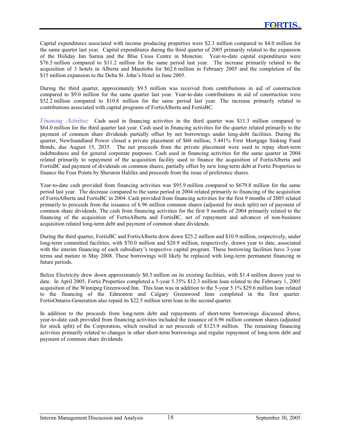Capital expenditures associated with income producing properties were \$2.3 million compared to \$4.0 million for the same quarter last year. Capital expenditures during the third quarter of 2005 primarily related to the expansion of the Holiday Inn Sarnia and the Blue Cross Centre in Moncton. Year-to-date capital expenditures were \$76.5 million compared to \$11.2 million for the same period last year. The increase primarily related to the acquisition of 3 hotels in Alberta and Manitoba for \$62.6 million in February 2005 and the completion of the \$15 million expansion to the Delta St. John's Hotel in June 2005.

During the third quarter, approximately \$9.5 million was received from contributions in aid of construction compared to \$9.0 million for the same quarter last year. Year-to-date contributions in aid of construction were \$32.2 million compared to \$10.8 million for the same period last year. The increase primarily related to contributions associated with capital programs of FortisAlberta and FortisBC.

*Financing Activities:* Cash used in financing activities in the third quarter was \$11.3 million compared to \$64.0 million for the third quarter last year. Cash used in financing activities for the quarter related primarily to the payment of common share dividends partially offset by net borrowings under long-debt facilities. During the quarter, Newfoundland Power closed a private placement of \$60 million, 5.441% First Mortgage Sinking Fund Bonds, due August 15, 2035. The net proceeds from the private placement were used to repay short-term indebtedness and for general corporate purposes. Cash used in financing activities for the same quarter in 2004 related primarily to repayment of the acquisition facility used to finance the acquisition of FortisAlberta and FortisBC and payment of dividends on common shares, partially offset by new long-term debt at Fortis Properties to finance the Four Points by Sheraton Halifax and proceeds from the issue of preference shares.

Year-to-date cash provided from financing activities was \$95.9 million compared to \$679.8 million for the same period last year. The decrease compared to the same period in 2004 related primarily to financing of the acquisition of FortisAlberta and FortisBC in 2004. Cash provided from financing activities for the first 9 months of 2005 related primarily to proceeds from the issuance of 6.96 million common shares (adjusted for stock split) net of payment of common share dividends. The cash from financing activities for the first 9 months of 2004 primarily related to the financing of the acquisition of FortisAlberta and FortisBC, net of repayment and advances of non-business acquisition related long-term debt and payment of common share dividends.

During the third quarter, FortisBC and FortisAlberta drew down \$25.2 million and \$10.9 million, respectively, under long-term committed facilities, with \$70.0 million and \$20.9 million, respectively, drawn year to date, associated with the interim financing of each subsidiary's respective capital program. These borrowing facilities have 3-year terms and mature in May 2008. These borrowings will likely be replaced with long-term permanent financing in future periods.

Belize Electricity drew down approximately \$0.3 million on its existing facilities, with \$1.4 million drawn year to date. In April 2005, Fortis Properties completed a 5-year 5.35% \$12.3 million loan related to the February 1, 2005 acquisition of the Winnipeg Greenwood Inn. This loan was in addition to the 5-year 5.1% \$29.6 million loan related to the financing of the Edmonton and Calgary Greenwood Inns completed in the first quarter. FortisOntario-Generation also repaid its \$22.5 million term loan in the second quarter.

In addition to the proceeds from long-term debt and repayments of short-term borrowings discussed above, year-to-date cash provided from financing activities included the issuance of 6.96 million common shares (adjusted for stock split) of the Corporation, which resulted in net proceeds of \$123.9 million. The remaining financing activities primarily related to changes in other short-term borrowings and regular repayment of long-term debt and payment of common share dividends.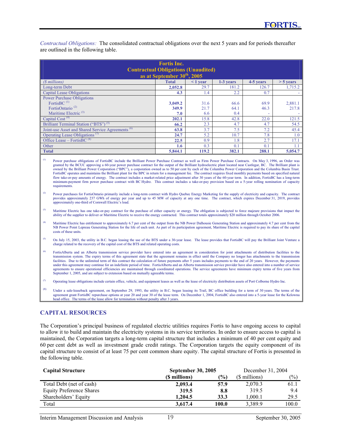*Contractual Obligations:* The consolidated contractual obligations over the next 5 years and for periods thereafter are outlined in the following table.

| <b>Fortis Inc.</b><br><b>Contractual Obligations (Unaudited)</b><br>as at September 30 <sup>th</sup> , 2005 |              |               |           |           |             |  |  |  |  |
|-------------------------------------------------------------------------------------------------------------|--------------|---------------|-----------|-----------|-------------|--|--|--|--|
| ( <i>§</i> millions)                                                                                        | <b>Total</b> | $\leq 1$ year | 1-3 years | 4-5 years | $> 5$ years |  |  |  |  |
| Long-term Debt                                                                                              | 2,052.8      | 29.7          | 181.2     | 126.7     | 1,715.2     |  |  |  |  |
| <b>Capital Lease Obligations</b>                                                                            | 4.3          | 1.4           | 2.2       | 0.7       |             |  |  |  |  |
| <b>Power Purchase Obligations</b>                                                                           |              |               |           |           |             |  |  |  |  |
| FortisBC <sup>(1)</sup>                                                                                     | 3.049.2      | 31.6          | 66.6      | 69.9      | 2,881.1     |  |  |  |  |
| FortisOntario <sup>(2)</sup>                                                                                | 349.9        | 21.7          | 64.1      | 46.3      | 217.8       |  |  |  |  |
| Maritime Electric $(3)$                                                                                     | 7.0          | 6.6           | 0.4       |           |             |  |  |  |  |
| Capital Cost <sup>(4)</sup>                                                                                 | 202.1        | 15.8          | 42.8      | 22.0      | 121.5       |  |  |  |  |
| Brilliant Terminal Station ("BTS") <sup>(5)</sup>                                                           | 66.2         | 2.3           | 4.7       | 4.7       | 54.5        |  |  |  |  |
| Joint-use Asset and Shared Service Agreements <sup>(6)</sup>                                                | 63.8         | 3.7           | 7.5       | 7.2       | 45.4        |  |  |  |  |
| Operating Lease Obligations <sup><math>(7)</math></sup>                                                     | 24.7         | 5.2           | 10.7      | 7.8       | 1.0         |  |  |  |  |
| Office Lease – FortisBC $(8)$                                                                               | 22.5         | 0.9           | 1.8       | 2.7       | 17.1        |  |  |  |  |
| Other                                                                                                       | 1.6          | 0.3           | 0.1       | 0.1       | $1.1\,$     |  |  |  |  |
| <b>Total</b>                                                                                                | 5,844.1      | 119.2         | 382.1     | 288.1     | 5,054.7     |  |  |  |  |

Power purchase obligations of FortisBC include the Brilliant Power Purchase Contract as well as Firm Power Purchase Contracts. On May 3, 1996, an Order was granted by the BCUC approving a 60-year power purchase contract for the output of the Brilliant hydroelectric plant located near Castlegar, BC. The Brilliant plant is owned by the Brilliant Power Corporation ("BPC"), a corporation owned as to 50 per cent by each of the Columbia Power Corporation and the Columbia Basin Trust. FortisBC operates and maintains the Brilliant plant for the BPC in return for a management fee. The contract requires fixed monthly payments based on specified natural flow take-or-pay amounts of energy. The contract includes a market-related price adjustment after 30 years of the 60-year term. In addition, FortisBC has a long-term minimum-payment firm power purchase contract with BC Hydro. This contract includes a take-or-pay provision based on a 5-year rolling nomination of capacity requirements.

- (2) Power purchases for FortisOntario primarily include a long-term contract with Hydro Quebec Energy Marketing for the supply of electricity and capacity. The contract provides approximately 237 GWh of energy per year and up to 45 MW of capacity at any one time. The contract, which expires December 31, 2019, provides approximately one-third of Cornwall Electric's load.
- (3) Maritime Electric has one take-or-pay contract for the purchase of either capacity or energy. The obligation is subjected to force majeure provisions that impact the ability of the supplier to deliver or Maritime Electric to receive the energy contracted. This contract totals approximately \$20 million through October 2006.
- <sup>(4)</sup> Maritime Electric has entitlement to approximately 6.7 per cent of the output from the NB Power Dalhousie Generating Station and approximately 4.7 per cent from the NB Power Point Lepreau Generating Station for the life of each unit. As part of its participation agreement, Maritime Electric is required to pay its share of the capital costs of these units.
- <sup>(5)</sup> On July 15, 2003, the utility in B.C. began leasing the use of the BTS under a 30-year lease. The lease provides that FortisBC will pay the Brilliant Joint Venture a charge related to the recovery of the capital cost of the BTS and related operating costs.
- FortisAlberta and an Alberta transmission service provider have entered into an agreement in consideration for joint attachments of distribution facilities to the transmission system. The expiry terms of this agreement state that the agreement remains in effect until the Company no longer has attachments to the transmission facilities. Due to the unlimited term of this contract the calculation of future payments after 5 years includes payments to the end of 20 years. However, the payments under this agreement may continue for an indefinite period of time. FortisAlberta and an Alberta transmission service provider have also entered into a number of service agreements to ensure operational efficiencies are maintained through coordinated operations. The service agreements have minimum expiry terms of five years from September 1, 2005, and are subject to extension based on mutually agreeable terms.
- ( $7$ ) Operating lease obligations include certain office, vehicle, and equipment leases as well as the lease of electricity distribution assets of Port Colborne Hydro Inc.
- (8) Under a sale-leaseback agreement, on September 29, 1993, the utility in B.C. began leasing its Trail, BC office building for a term of 30 years. The terms of the agreement grant FortisBC repurchase options at year 20 and year 30 of the lease term. On December 1, 2004, FortisBC also entered into a 5-year lease for the Kelowna<br>head office. The terms of the lease allow for termination

# **CAPITAL RESOURCES**

The Corporation's principal business of regulated electric utilities requires Fortis to have ongoing access to capital to allow it to build and maintain the electricity systems in its service territories. In order to ensure access to capital is maintained, the Corporation targets a long-term capital structure that includes a minimum of 40 per cent equity and 60 per cent debt as well as investment grade credit ratings. The Corporation targets the equity component of its capital structure to consist of at least 75 per cent common share equity. The capital structure of Fortis is presented in the following table.

| <b>Capital Structure</b>        | <b>September 30, 2005</b> | December 31, 2004 |               |               |
|---------------------------------|---------------------------|-------------------|---------------|---------------|
|                                 | (\$ millions)             | $\frac{1}{2}$     | (\$ millions) | $\frac{1}{2}$ |
| Total Debt (net of cash)        | 2,093.4                   | 57.9              | 2.070.3       | 61.1          |
| <b>Equity Preference Shares</b> | 319.5                     | 8.8               | 319.5         | 9.4           |
| Shareholders' Equity            | 1.204.5                   | 33.3              | 1.000.1       | 29.5          |
| Total                           | 3.617.4                   | 100.0             | 3.389.9       | 100.0         |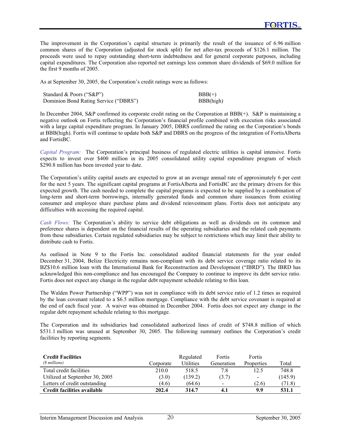The improvement in the Corporation's capital structure is primarily the result of the issuance of 6.96 million common shares of the Corporation (adjusted for stock split) for net after-tax proceeds of \$126.1 million. The proceeds were used to repay outstanding short-term indebtedness and for general corporate purposes, including capital expenditures. The Corporation also reported net earnings less common share dividends of \$69.0 million for the first 9 months of 2005.

As at September 30, 2005, the Corporation's credit ratings were as follows:

| Standard & Poors ("S&P")              | $BBB(+)$  |
|---------------------------------------|-----------|
| Dominion Bond Rating Service ("DBRS") | BBB(high) |

In December 2004, S&P confirmed its corporate credit rating on the Corporation at BBB(+). S&P is maintaining a negative outlook on Fortis reflecting the Corporation's financial profile combined with execution risks associated with a large capital expenditure program. In January 2005, DBRS confirmed the rating on the Corporation's bonds at BBB(high). Fortis will continue to update both S&P and DBRS on the progress of the integration of FortisAlberta and FortisBC.

*Capital Program:* The Corporation's principal business of regulated electric utilities is capital intensive. Fortis expects to invest over \$400 million in its 2005 consolidated utility capital expenditure program of which \$290.8 million has been invested year to date.

The Corporation's utility capital assets are expected to grow at an average annual rate of approximately 6 per cent for the next 5 years. The significant capital programs at FortisAlberta and FortisBC are the primary drivers for this expected growth. The cash needed to complete the capital programs is expected to be supplied by a combination of long-term and short-term borrowings, internally generated funds and common share issuances from existing consumer and employee share purchase plans and dividend reinvestment plans. Fortis does not anticipate any difficulties with accessing the required capital.

*Cash Flows:* The Corporation's ability to service debt obligations as well as dividends on its common and preference shares is dependent on the financial results of the operating subsidiaries and the related cash payments from these subsidiaries. Certain regulated subsidiaries may be subject to restrictions which may limit their ability to distribute cash to Fortis.

As outlined in Note 9 to the Fortis Inc. consolidated audited financial statements for the year ended December 31, 2004, Belize Electricity remains non-compliant with its debt service coverage ratio related to its BZ\$10.6 million loan with the International Bank for Reconstruction and Development ("IBRD"). The IBRD has acknowledged this non-compliance and has encouraged the Company to continue to improve its debt service ratio. Fortis does not expect any change in the regular debt repayment schedule relating to this loan.

The Walden Power Partnership ("WPP") was not in compliance with its debt service ratio of 1.2 times as required by the loan covenant related to a \$6.5 million mortgage. Compliance with the debt service covenant is required at the end of each fiscal year. A waiver was obtained in December 2004. Fortis does not expect any change in the regular debt repayment schedule relating to this mortgage.

The Corporation and its subsidiaries had consolidated authorized lines of credit of \$748.8 million of which \$531.1 million was unused at September 30, 2005. The following summary outlines the Corporation's credit facilities by reporting segments.

| <b>Credit Facilities</b><br>(\$ millions) | Corporate | Regulated<br><b>Utilities</b> | Fortis<br>Generation     | Fortis<br>Properties | Total   |
|-------------------------------------------|-----------|-------------------------------|--------------------------|----------------------|---------|
| Total credit facilities                   | 210.0     | 518.5                         | 7.8                      | 12.5                 | 748.8   |
| Utilized at September 30, 2005            | (3.0)     | (139.2)                       | (3.7)                    | $\blacksquare$       | (145.9) |
| Letters of credit outstanding             | (4.6)     | (64.6)                        | $\overline{\phantom{a}}$ | (2.6)                | (71.8)  |
| Credit facilities available               | 202.4     | 314.7                         | 4.1                      | 9.9                  | 531.1   |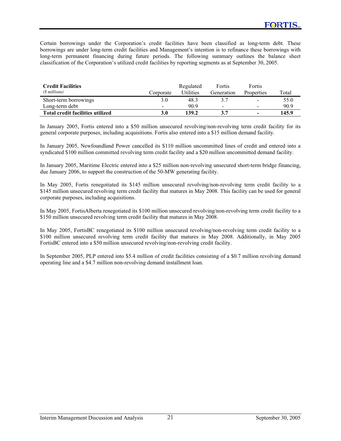Certain borrowings under the Corporation's credit facilities have been classified as long-term debt. These borrowings are under long-term credit facilities and Management's intention is to refinance these borrowings with long-term permanent financing during future periods. The following summary outlines the balance sheet classification of the Corporation's utilized credit facilities by reporting segments as at September 30, 2005.

| <b>Credit Facilities</b>         |           | Regulated | Fortis     | Fortis                   |       |
|----------------------------------|-----------|-----------|------------|--------------------------|-------|
| (\$ millions)                    | Corporate | Utilities | Generation | Properties               | Total |
| Short-term borrowings            | 3.0       | 48.3      |            | $\overline{\phantom{a}}$ | 55.0  |
| Long-term debt                   | -         | 90.9      | $\sim$     | $\overline{\phantom{0}}$ | 90.9  |
| Total credit facilities utilized | 3.0       | 139.2     |            | -                        | 145.9 |

In January 2005, Fortis entered into a \$50 million unsecured revolving/non-revolving term credit facility for its general corporate purposes, including acquisitions. Fortis also entered into a \$15 million demand facility.

In January 2005, Newfoundland Power cancelled its \$110 million uncommitted lines of credit and entered into a syndicated \$100 million committed revolving term credit facility and a \$20 million uncommitted demand facility.

In January 2005, Maritime Electric entered into a \$25 million non-revolving unsecured short-term bridge financing, due January 2006, to support the construction of the 50-MW generating facility.

In May 2005, Fortis renegotiated its \$145 million unsecured revolving/non-revolving term credit facility to a \$145 million unsecured revolving term credit facility that matures in May 2008. This facility can be used for general corporate purposes, including acquisitions.

In May 2005, FortisAlberta renegotiated its \$100 million unsecured revolving/non-revolving term credit facility to a \$150 million unsecured revolving term credit facility that matures in May 2008.

In May 2005, FortisBC renegotiated its \$100 million unsecured revolving/non-revolving term credit facility to a \$100 million unsecured revolving term credit facility that matures in May 2008. Additionally, in May 2005 FortisBC entered into a \$50 million unsecured revolving/non-revolving credit facility.

In September 2005, PLP entered into \$5.4 million of credit facilities consisting of a \$0.7 million revolving demand operating line and a \$4.7 million non-revolving demand installment loan.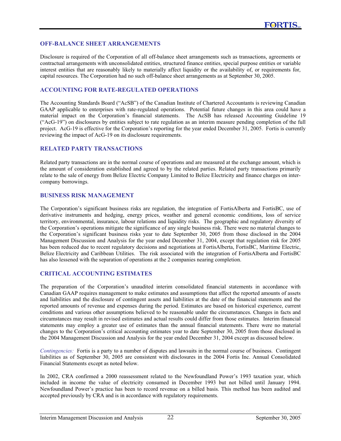## **OFF-BALANCE SHEET ARRANGEMENTS**

Disclosure is required of the Corporation of all off-balance sheet arrangements such as transactions, agreements or contractual arrangements with unconsolidated entities, structured finance entities, special purpose entities or variable interest entities that are reasonably likely to materially affect liquidity or the availability of, or requirements for, capital resources. The Corporation had no such off-balance sheet arrangements as at September 30, 2005.

## **ACCOUNTING FOR RATE-REGULATED OPERATIONS**

The Accounting Standards Board ("AcSB") of the Canadian Institute of Chartered Accountants is reviewing Canadian GAAP applicable to enterprises with rate-regulated operations. Potential future changes in this area could have a material impact on the Corporation's financial statements. The AcSB has released Accounting Guideline 19 ("AcG-19") on disclosures by entities subject to rate regulation as an interim measure pending completion of the full project. AcG-19 is effective for the Corporation's reporting for the year ended December 31, 2005. Fortis is currently reviewing the impact of AcG-19 on its disclosure requirements.

## **RELATED PARTY TRANSACTIONS**

Related party transactions are in the normal course of operations and are measured at the exchange amount, which is the amount of consideration established and agreed to by the related parties. Related party transactions primarily relate to the sale of energy from Belize Electric Company Limited to Belize Electricity and finance charges on intercompany borrowings.

## **BUSINESS RISK MANAGEMENT**

The Corporation's significant business risks are regulation, the integration of FortisAlberta and FortisBC, use of derivative instruments and hedging, energy prices, weather and general economic conditions, loss of service territory, environmental, insurance, labour relations and liquidity risks. The geographic and regulatory diversity of the Corporation's operations mitigate the significance of any single business risk. There were no material changes to the Corporation's significant business risks year to date September 30, 2005 from those disclosed in the 2004 Management Discussion and Analysis for the year ended December 31, 2004, except that regulation risk for 2005 has been reduced due to recent regulatory decisions and negotiations at FortisAlberta, FortisBC, Maritime Electric, Belize Electricity and Caribbean Utilities. The risk associated with the integration of FortisAlberta and FortisBC has also lessened with the separation of operations at the 2 companies nearing completion.

## **CRITICAL ACCOUNTING ESTIMATES**

The preparation of the Corporation's unaudited interim consolidated financial statements in accordance with Canadian GAAP requires management to make estimates and assumptions that affect the reported amounts of assets and liabilities and the disclosure of contingent assets and liabilities at the date of the financial statements and the reported amounts of revenue and expenses during the period. Estimates are based on historical experience, current conditions and various other assumptions believed to be reasonable under the circumstances. Changes in facts and circumstances may result in revised estimates and actual results could differ from those estimates. Interim financial statements may employ a greater use of estimates than the annual financial statements. There were no material changes to the Corporation's critical accounting estimates year to date September 30, 2005 from those disclosed in the 2004 Management Discussion and Analysis for the year ended December 31, 2004 except as discussed below.

*Contingencies:* Fortis is a party to a number of disputes and lawsuits in the normal course of business. Contingent liabilities as of September 30, 2005 are consistent with disclosures in the 2004 Fortis Inc. Annual Consolidated Financial Statements except as noted below.

In 2002, CRA confirmed a 2000 reassessment related to the Newfoundland Power's 1993 taxation year, which included in income the value of electricity consumed in December 1993 but not billed until January 1994. Newfoundland Power's practice has been to record revenue on a billed basis. This method has been audited and accepted previously by CRA and is in accordance with regulatory requirements.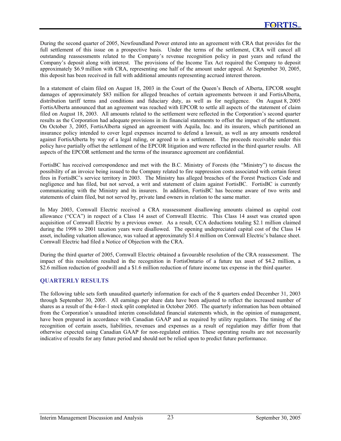During the second quarter of 2005, Newfoundland Power entered into an agreement with CRA that provides for the full settlement of this issue on a prospective basis. Under the terms of the settlement, CRA will cancel all outstanding reassessments related to the Company's revenue recognition policy in past years and refund the Company's deposit along with interest. The provisions of the Income Tax Act required the Company to deposit approximately \$6.9 million with CRA, representing one half of the amount under appeal. At September 30, 2005, this deposit has been received in full with additional amounts representing accrued interest thereon.

In a statement of claim filed on August 18, 2003 in the Court of the Queen's Bench of Alberta, EPCOR sought damages of approximately \$83 million for alleged breaches of certain agreements between it and FortisAlberta, distribution tariff terms and conditions and fiduciary duty, as well as for negligence. On August 8, 2005 FortisAlberta announced that an agreement was reached with EPCOR to settle all aspects of the statement of claim filed on August 18, 2003. All amounts related to the settlement were reflected in the Corporation's second quarter results as the Corporation had adequate provisions in its financial statements to offset the impact of the settlement. On October 3, 2005, FortisAlberta signed an agreement with Aquila, Inc. and its insurers, which partitioned an insurance policy intended to cover legal expenses incurred to defend a lawsuit, as well as any amounts rendered against FortisAlberta by way of a legal ruling, or agreed to in a settlement. The proceeds receivable under this policy have partially offset the settlement of the EPCOR litigation and were reflected in the third quarter results. All aspects of the EPCOR settlement and the terms of the insurance agreement are confidential.

FortisBC has received correspondence and met with the B.C. Ministry of Forests (the "Ministry") to discuss the possibility of an invoice being issued to the Company related to fire suppression costs associated with certain forest fires in FortisBC's service territory in 2003. The Ministry has alleged breaches of the Forest Practices Code and negligence and has filed, but not served, a writ and statement of claim against FortisBC. FortisBC is currently communicating with the Ministry and its insurers. In addition, FortisBC has become aware of two writs and statements of claim filed, but not served by, private land owners in relation to the same matter.

In May 2003, Cornwall Electric received a CRA reassessment disallowing amounts claimed as capital cost allowance ("CCA") in respect of a Class 14 asset of Cornwall Electric. This Class 14 asset was created upon acquisition of Cornwall Electric by a previous owner. As a result, CCA deductions totaling \$2.1 million claimed during the 1998 to 2001 taxation years were disallowed. The opening undepreciated capital cost of the Class 14 asset, including valuation allowance, was valued at approximately \$1.4 million on Cornwall Electric's balance sheet. Cornwall Electric had filed a Notice of Objection with the CRA.

During the third quarter of 2005, Cornwall Electric obtained a favourable resolution of the CRA reassessment. The impact of this resolution resulted in the recognition in FortisOntario of a future tax asset of \$4.2 million, a \$2.6 million reduction of goodwill and a \$1.6 million reduction of future income tax expense in the third quarter.

# **QUARTERLY RESULTS**

The following table sets forth unaudited quarterly information for each of the 8 quarters ended December 31, 2003 through September 30, 2005. All earnings per share data have been adjusted to reflect the increased number of shares as a result of the 4-for-1 stock split completed in October 2005. The quarterly information has been obtained from the Corporation's unaudited interim consolidated financial statements which, in the opinion of management, have been prepared in accordance with Canadian GAAP and as required by utility regulators. The timing of the recognition of certain assets, liabilities, revenues and expenses as a result of regulation may differ from that otherwise expected using Canadian GAAP for non-regulated entities. These operating results are not necessarily indicative of results for any future period and should not be relied upon to predict future performance.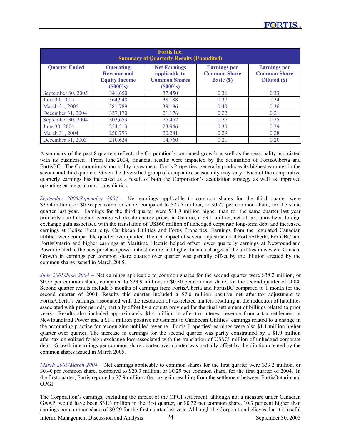| <b>Fortis Inc.</b><br><b>Summary of Quarterly Results (Unaudited)</b> |                                                                            |                                                                          |                                                                 |                                                            |  |  |  |  |  |
|-----------------------------------------------------------------------|----------------------------------------------------------------------------|--------------------------------------------------------------------------|-----------------------------------------------------------------|------------------------------------------------------------|--|--|--|--|--|
| <b>Quarter Ended</b>                                                  | <b>Operating</b><br><b>Revenue and</b><br><b>Equity Income</b><br>(S000's) | <b>Net Earnings</b><br>applicable to<br><b>Common Shares</b><br>(S000's) | <b>Earnings per</b><br><b>Common Share</b><br><b>Basic (\$)</b> | <b>Earnings per</b><br><b>Common Share</b><br>Diluted (\$) |  |  |  |  |  |
| September 30, 2005                                                    | 341,650                                                                    | 37,450                                                                   | 0.36                                                            | 0.33                                                       |  |  |  |  |  |
| June 30, 2005                                                         | 364,948                                                                    | 38,188                                                                   | 0.37                                                            | 0.34                                                       |  |  |  |  |  |
| March 31, 2005                                                        | 381,789                                                                    | 39,196                                                                   | 0.40                                                            | 0.36                                                       |  |  |  |  |  |
| December 31, 2004                                                     | 337,170                                                                    | 21,176                                                                   | 0.22                                                            | 0.21                                                       |  |  |  |  |  |
| September 30, 2004                                                    | 303,653                                                                    | 25,452                                                                   | 0.27                                                            | 0.25                                                       |  |  |  |  |  |
| June 30, 2004                                                         | 254,513                                                                    | 23,946                                                                   | 0.30                                                            | 0.29                                                       |  |  |  |  |  |
| March 31, 2004                                                        | 250,793                                                                    | 20,281                                                                   | 0.29                                                            | 0.28                                                       |  |  |  |  |  |
| December 31, 2003                                                     | 210.624                                                                    | 14.760                                                                   | 0.21                                                            | 0.20                                                       |  |  |  |  |  |

A summary of the past 8 quarters reflects the Corporation's continued growth as well as the seasonality associated with its businesses. From June 2004, financial results were impacted by the acquisition of FortisAlberta and FortisBC. The Corporation's non-utility investment, Fortis Properties, generally produces its highest earnings in the second and third quarters. Given the diversified group of companies, seasonality may vary. Each of the comparative quarterly earnings has increased as a result of both the Corporation's acquisition strategy as well as improved operating earnings at most subsidiaries.

*September 2005/September 2004 –* Net earnings applicable to common shares for the third quarter were \$37.4 million, or \$0.36 per common share, compared to \$25.5 million, or \$0.27 per common share, for the same quarter last year. Earnings for the third quarter were \$11.9 million higher than for the same quarter last year primarily due to higher average wholesale energy prices in Ontario, a \$3.1 million, net of tax, unrealized foreign exchange gain associated with the translation of US\$60 million of unhedged corporate long-term debt and increased earnings at Belize Electricity, Caribbean Utilities and Fortis Properties. Earnings from the regulated Canadian utilities were comparable quarter over quarter. The net impact of several adjustments at FortisAlberta, FortisBC and FortisOntario and higher earnings at Maritime Electric helped offset lower quarterly earnings at Newfoundland Power related to the new purchase power rate structure and higher finance charges at the utilities in western Canada. Growth in earnings per common share quarter over quarter was partially offset by the dilution created by the common shares issued in March 2005.

*June 2005/June 2004 –* Net earnings applicable to common shares for the second quarter were \$38.2 million, or \$0.37 per common share, compared to \$23.9 million, or \$0.30 per common share, for the second quarter of 2004. Second quarter results include 3 months of earnings from FortisAlberta and FortisBC compared to 1 month for the second quarter of 2004. Results this quarter included a \$7.0 million positive net after-tax adjustment to FortisAlberta's earnings, associated with the resolution of tax-related matters resulting in the reduction of liabilities associated with prior periods, partially offset by amounts provided for the final settlement of billings related to prior years. Results also included approximately \$1.4 million in after-tax interest revenue from a tax settlement at Newfoundland Power and a \$1.1 million positive adjustment to Caribbean Utilities' earnings related to a change in the accounting practice for recognizing unbilled revenue. Fortis Properties' earnings were also \$1.1 million higher quarter over quarter. The increase in earnings for the second quarter was partly constrained by a \$1.0 million after-tax unrealized foreign exchange loss associated with the translation of US\$75 million of unhedged corporate debt. Growth in earnings per common share quarter over quarter was partially offset by the dilution created by the common shares issued in March 2005.

*March 2005/March 2004 –* Net earnings applicable to common shares for the first quarter were \$39.2 million, or \$0.40 per common share, compared to \$20.3 million, or \$0.29 per common share, for the first quarter of 2004. In the first quarter, Fortis reported a \$7.9 million after-tax gain resulting from the settlement between FortisOntario and OPGI.

The Corporation's earnings, excluding the impact of the OPGI settlement, although not a measure under Canadian GAAP, would have been \$31.3 million in the first quarter, or \$0.32 per common share, 10.3 per cent higher than earnings per common share of \$0.29 for the first quarter last year. Although the Corporation believes that it is useful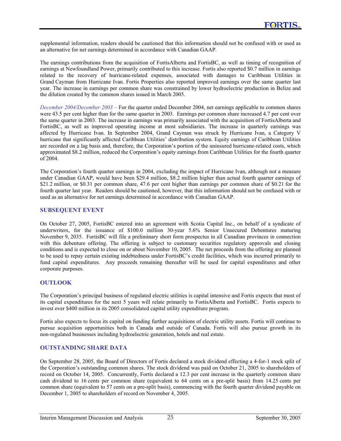supplemental information, readers should be cautioned that this information should not be confused with or used as an alternative for net earnings determined in accordance with Canadian GAAP.

The earnings contributions from the acquisition of FortisAlberta and FortisBC, as well as timing of recognition of earnings at Newfoundland Power, primarily contributed to this increase. Fortis also reported \$0.7 million in earnings related to the recovery of hurricane-related expenses, associated with damages to Caribbean Utilities in Grand Cayman from Hurricane Ivan. Fortis Properties also reported improved earnings over the same quarter last year. The increase in earnings per common share was constrained by lower hydroelectric production in Belize and the dilution created by the common shares issued in March 2005.

*December 2004/December 2003 –* For the quarter ended December 2004, net earnings applicable to common shares were 43.5 per cent higher than for the same quarter in 2003. Earnings per common share increased 4.7 per cent over the same quarter in 2003. The increase in earnings was primarily associated with the acquisition of FortisAlberta and FortisBC, as well as improved operating income at most subsidiaries. The increase in quarterly earnings was affected by Hurricane Ivan. In September 2004, Grand Cayman was struck by Hurricane Ivan, a Category V hurricane that significantly affected Caribbean Utilities' distribution system. Equity earnings of Caribbean Utilities are recorded on a lag basis and, therefore, the Corporation's portion of the uninsured hurricane-related costs, which approximated \$8.2 million, reduced the Corporation's equity earnings from Caribbean Utilities for the fourth quarter of 2004.

The Corporation's fourth quarter earnings in 2004, excluding the impact of Hurricane Ivan, although not a measure under Canadian GAAP, would have been \$29.4 million, \$8.2 million higher than actual fourth quarter earnings of \$21.2 million, or \$0.31 per common share, 47.6 per cent higher than earnings per common share of \$0.21 for the fourth quarter last year. Readers should be cautioned, however, that this information should not be confused with or used as an alternative for net earnings determined in accordance with Canadian GAAP.

## **SUBSEQUENT EVENT**

On October 27, 2005, FortisBC entered into an agreement with Scotia Capital Inc., on behalf of a syndicate of underwriters, for the issuance of \$100.0 million 30-year 5.6% Senior Unsecured Debentures maturing November 9, 2035. FortisBC will file a preliminary short form prospectus in all Canadian provinces in connection with this debenture offering. The offering is subject to customary securities regulatory approvals and closing conditions and is expected to close on or about November 10, 2005. The net proceeds from the offering are planned to be used to repay certain existing indebtedness under FortisBC's credit facilities, which was incurred primarily to fund capital expenditures. Any proceeds remaining thereafter will be used for capital expenditures and other corporate purposes.

# **OUTLOOK**

The Corporation's principal business of regulated electric utilities is capital intensive and Fortis expects that most of its capital expenditures for the next 5 years will relate primarily to FortisAlberta and FortisBC. Fortis expects to invest over \$400 million in its 2005 consolidated capital utility expenditure program.

Fortis also expects to focus its capital on funding further acquisitions of electric utility assets. Fortis will continue to pursue acquisition opportunities both in Canada and outside of Canada. Fortis will also pursue growth in its non-regulated businesses including hydroelectric generation, hotels and real estate.

# **OUTSTANDING SHARE DATA**

On September 28, 2005, the Board of Directors of Fortis declared a stock dividend effecting a 4-for-1 stock split of the Corporation's outstanding common shares. The stock dividend was paid on October 21, 2005 to shareholders of record on October 14, 2005. Concurrently, Fortis declared a 12.3 per cent increase in the quarterly common share cash dividend to 16 cents per common share (equivalent to 64 cents on a pre-split basis) from 14.25 cents per common share (equivalent to 57 cents on a pre-split basis), commencing with the fourth quarter dividend payable on December 1, 2005 to shareholders of record on November 4, 2005.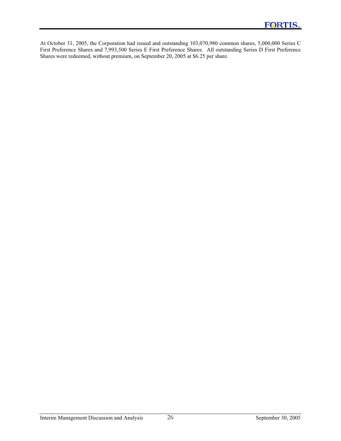At October 31, 2005, the Corporation had issued and outstanding 103,070,980 common shares, 5,000,000 Series C First Preference Shares and 7,993,500 Series E First Preference Shares. All outstanding Series D First Preference Shares were redeemed, without premium, on September 20, 2005 at \$6.25 per share.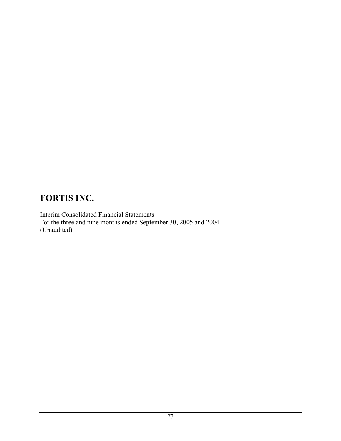Interim Consolidated Financial Statements For the three and nine months ended September 30, 2005 and 2004 (Unaudited)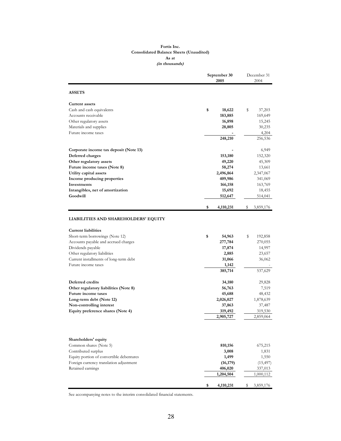#### **Fortis Inc. Consolidated Balance Sheets (Unaudited) As at (in thousands)**

|                                                               | September 30<br>2005 | December 31<br>2004 |  |  |
|---------------------------------------------------------------|----------------------|---------------------|--|--|
| <b>ASSETS</b>                                                 |                      |                     |  |  |
| <b>Current assets</b>                                         |                      |                     |  |  |
| Cash and cash equivalents                                     | \$<br>18,622         | 37,203<br>\$        |  |  |
| Accounts receivable                                           | 183,885              | 169,649             |  |  |
| Other regulatory assets                                       | 16,898               | 15,245              |  |  |
| Materials and supplies                                        | 28,805               | 30,235              |  |  |
| Future income taxes                                           |                      | 4,204               |  |  |
|                                                               | 248,210              | 256,536             |  |  |
| Corporate income tax deposit (Note 13)                        |                      | 6,949               |  |  |
| Deferred charges                                              | 153,180              | 152,320             |  |  |
| Other regulatory assets                                       | 49,220               | 45,309              |  |  |
| Future income taxes (Note 8)                                  | 58,274               | 13,661              |  |  |
| Utility capital assets                                        | 2,496,864            | 2,347,067           |  |  |
| Income producing properties                                   | 409,986              | 341,069             |  |  |
| Investments                                                   | 166,158              | 163,769             |  |  |
| Intangibles, net of amortization                              | 15,692               | 18,455              |  |  |
| Goodwill                                                      | 512,647              | 514,041             |  |  |
|                                                               | \$<br>4,110,231      | 3,859,176<br>s      |  |  |
| <b>LIABILITIES AND SHAREHOLDERS' EQUITY</b>                   |                      |                     |  |  |
| <b>Current liabilities</b><br>Short-term borrowings (Note 12) | \$<br>54,963         | \$<br>192,858       |  |  |
| Accounts payable and accrued charges                          | 277,784              | 270,055             |  |  |
| Dividends payable                                             | 17,874               | 14,997              |  |  |
| Other regulatory liabilities                                  | 2,885                | 23,657              |  |  |
| Current installments of long-term debt                        | 31,066               | 36,062              |  |  |
| Future income taxes                                           | 1,142                |                     |  |  |
|                                                               | 385,714              | 537,629             |  |  |
| Deferred credits                                              | 34,180               | 29,828              |  |  |
| Other regulatory liabilities (Note 8)                         | 56,763               | 7,519               |  |  |
| Future income taxes                                           | 45,688               | 48,432              |  |  |
| Long-term debt (Note 12)                                      | 2,026,027            | 1,878,639           |  |  |
| Non-controlling interest                                      | 37,863               | 37,487              |  |  |
| Equity preference shares (Note 4)                             | 319,492              | 319,530             |  |  |
|                                                               | 2,905,727            | 2,859,064           |  |  |
| Shareholders' equity                                          |                      |                     |  |  |
| Common shares (Note 5)                                        | 810,156              | 675,215             |  |  |
| Contributed surplus                                           | 3,008                | 1,831               |  |  |
| Equity portion of convertible debentures                      | 1,499                | 1,550               |  |  |
| Foreign currency translation adjustment                       | (16, 179)            | (15, 497)           |  |  |
| Retained earnings                                             | 406,020              | 337,013             |  |  |
|                                                               | 1,204,504            | 1,000,112           |  |  |
|                                                               | \$<br>4,110,231      | 3,859,176<br>s      |  |  |

See accompanying notes to the interim consolidated financial statements.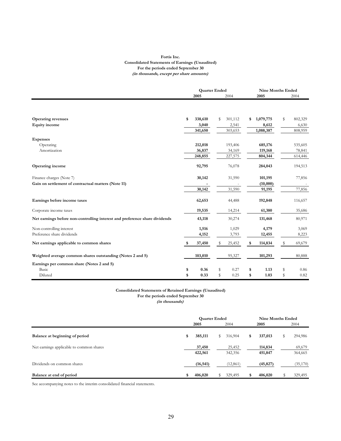#### **Fortis Inc. Consolidated Statements of Earnings (Unaudited) For the periods ended September 30 (in thousands, except per share amounts)**

|                                                                             | <b>Quarter Ended</b> |         |    | <b>Nine Months Ended</b> |    |           |    |         |
|-----------------------------------------------------------------------------|----------------------|---------|----|--------------------------|----|-----------|----|---------|
|                                                                             |                      | 2005    |    | 2004                     |    | 2005      |    | 2004    |
|                                                                             |                      |         |    |                          |    |           |    |         |
|                                                                             |                      |         |    |                          |    |           |    |         |
| <b>Operating revenues</b>                                                   | \$                   | 338,610 | S  | 301,112                  | \$ | 1,079,775 | \$ | 802,329 |
| <b>Equity</b> income                                                        |                      | 3,040   |    | 2,541                    |    | 8,612     |    | 6,630   |
|                                                                             |                      | 341,650 |    | 303,653                  |    | 1,088,387 |    | 808,959 |
| <b>Expenses</b>                                                             |                      |         |    |                          |    |           |    |         |
| Operating                                                                   |                      | 212,018 |    | 193,406                  |    | 685,176   |    | 535,605 |
| Amortization                                                                |                      | 36,837  |    | 34,169                   |    | 119,168   |    | 78,841  |
|                                                                             |                      | 248,855 |    | 227,575                  |    | 804,344   |    | 614,446 |
| Operating income                                                            |                      | 92,795  |    | 76,078                   |    | 284,043   |    | 194,513 |
| Finance charges (Note 7)                                                    |                      | 30,142  |    | 31,590                   |    | 101,195   |    | 77,856  |
| Gain on settlement of contractual matters (Note 11)                         |                      |         |    |                          |    | (10,000)  |    |         |
|                                                                             |                      | 30,142  |    | 31,590                   |    | 91,195    |    | 77,856  |
| Earnings before income taxes                                                |                      | 62,653  |    | 44,488                   |    | 192,848   |    | 116,657 |
| Corporate income taxes                                                      |                      | 19,535  |    | 14,214                   |    | 61,380    |    | 35,686  |
| Net earnings before non-controlling interest and preference share dividends |                      | 43,118  |    | 30,274                   |    | 131,468   |    | 80,971  |
| Non-controlling interest                                                    |                      | 1,516   |    | 1,029                    |    | 4,179     |    | 3,069   |
| Preference share dividends                                                  |                      | 4,152   |    | 3,793                    |    | 12,455    |    | 8,223   |
| Net earnings applicable to common shares                                    | \$                   | 37,450  | S  | 25,452                   | \$ | 114,834   | \$ | 69,679  |
| Weighted average common shares outstanding (Notes 2 and 5)                  |                      | 103,010 |    | 95,327                   |    | 101,293   |    | 80,888  |
| Earnings per common share (Notes 2 and 5)                                   |                      |         |    |                          |    |           |    |         |
| Basic                                                                       | \$                   | 0.36    | \$ | 0.27                     | \$ | 1.13      | \$ | 0.86    |
| Diluted                                                                     | \$                   | 0.33    | S  | 0.25                     | \$ | 1.03      | S  | 0.82    |

#### **Consolidated Statements of Retained Earnings (Unaudited) For the periods ended September 30**

**(in thousands)**

|                                          | <b>Quarter Ended</b> |                   |      |                   | Nine Months Ended |                    |    |                   |  |
|------------------------------------------|----------------------|-------------------|------|-------------------|-------------------|--------------------|----|-------------------|--|
|                                          | 2005                 |                   | 2004 |                   | 2005              |                    |    | 2004              |  |
| Balance at beginning of period           | \$                   | 385,111           | \$   | 316,904           | \$                | 337,013            | \$ | 294,986           |  |
| Net earnings applicable to common shares |                      | 37,450<br>422,561 |      | 25,452<br>342,356 |                   | 114,834<br>451,847 |    | 69,679<br>364,665 |  |
| Dividends on common shares               |                      | (16, 541)         |      | (12, 861)         |                   | (45, 827)          |    | (35,170)          |  |
| Balance at end of period                 | \$                   | 406,020           |      | 329,495           |                   | 406,020            |    | 329,495           |  |

See accompanying notes to the interim consolidated financial statements.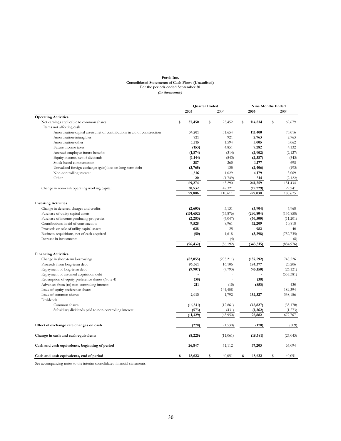#### **Fortis Inc. Consolidated Statements of Cash Flows (Unaudited) For the periods ended September 30 (in thousands)**

|                                                                          | <b>Quarter Ended</b> |              |             | <b>Nine Months Ended</b> |    |                       |   |            |
|--------------------------------------------------------------------------|----------------------|--------------|-------------|--------------------------|----|-----------------------|---|------------|
|                                                                          |                      | 2005         |             | 2004                     |    | 2005                  |   | 2004       |
| <b>Operating Activities</b>                                              |                      |              |             |                          |    |                       |   |            |
| Net earnings applicable to common shares                                 | \$                   | 37,450       | $\mathbb S$ | 25,452                   | \$ | 114,834               | S | 69,679     |
| Items not affecting cash                                                 |                      |              |             |                          |    |                       |   |            |
| Amortization-capital assets, net of contributions in aid of construction |                      | 34,201       |             | 31,654                   |    | 111,400               |   | 73,016     |
| Amortization-intangibles                                                 |                      | 921          |             | 921                      |    | 2,763                 |   | 2,763      |
| Amortization-other                                                       |                      | 1,715        |             | 1,594                    |    | 5,005                 |   | 3,062      |
| Future income taxes                                                      |                      | (153)        |             | 4,851                    |    | 9,282                 |   | 4,132      |
| Accrued employee future benefits                                         |                      | (1, 874)     |             | (314)                    |    | (2,902)               |   | (2,127)    |
| Equity income, net of dividends                                          |                      | (1, 144)     |             | (543)                    |    | (2, 387)              |   | (543)      |
| Stock-based compensation                                                 |                      | 387          |             | 260                      |    | 1,177                 |   | 698        |
| Unrealized foreign exchange (gain) loss on long-term debt                |                      | (3,765)      |             | 135                      |    | (2, 406)              |   | (193)      |
| Non-controlling interest                                                 |                      | 1,516        |             | 1,029                    |    | 4,179                 |   | 3,069      |
| Other                                                                    |                      | 20           |             | (1,749)                  |    | 314                   |   | (2, 122)   |
|                                                                          |                      | 69,274       |             | 63,290                   |    | 241,259               |   | 151,434    |
| Change in non-cash operating working capital                             |                      | 30,532       |             | 47,321                   |    | (12, 229)             |   | 29,241     |
|                                                                          |                      | 99,806       |             | 110,611                  |    | 229,030               |   | 180,675    |
|                                                                          |                      |              |             |                          |    |                       |   |            |
| <b>Investing Activities</b><br>Change in deferred charges and credits    |                      |              |             | 3,131                    |    |                       |   |            |
| Purchase of utility capital assets                                       |                      | (2,603)      |             | (65, 876)                |    | (5,904)<br>(290, 804) |   | 5,968      |
|                                                                          |                      | (101, 652)   |             |                          |    |                       |   | (137, 858) |
| Purchase of income producing properties                                  |                      | (2, 283)     |             | (4,047)                  |    | (76, 500)             |   | (11,201)   |
| Contributions in aid of construction                                     |                      | 9,528<br>628 |             | 8,961<br>25              |    | 32,209<br>982         |   | 10,818     |
| Proceeds on sale of utility capital assets                               |                      |              |             |                          |    |                       |   | 40         |
| Business acquisitions, net of cash acquired                              |                      | (50)         |             | 1,618                    |    | (3,298)               |   | (752, 735) |
| Increase in investments                                                  |                      |              |             | (4)                      |    |                       |   | (8)        |
|                                                                          |                      | (96, 432)    |             | (56, 192)                |    | (343, 315)            |   | (884,976)  |
| <b>Financing Activities</b>                                              |                      |              |             |                          |    |                       |   |            |
| Change in short-term borrowings                                          |                      | (82, 855)    |             | (205, 211)               |    | (137, 592)            |   | 748,526    |
| Proceeds from long-term debt                                             |                      | 96,361       |             | 16,106                   |    | 194,377               |   | 23,206     |
| Repayment of long-term debt                                              |                      | (9,907)      |             | (7, 793)                 |    | (45, 150)             |   | (26, 121)  |
| Repayment of assumed acquisition debt                                    |                      |              |             |                          |    |                       |   | (557, 381) |
| Redemption of equity preference shares (Note 4)                          |                      | (38)         |             |                          |    | (38)                  |   |            |
| Advances from (to) non-controlling interest                              |                      | 211          |             | (10)                     |    | (853)                 |   | 430        |
| Issue of equity preference shares                                        |                      |              |             | 144,458                  |    |                       |   | 189,394    |
| Issue of common shares                                                   |                      | 2,013        |             | 1,792                    |    | 132,327               |   | 338,156    |
| Dividends                                                                |                      |              |             |                          |    |                       |   |            |
| Common shares                                                            |                      | (16, 541)    |             | (12, 861)                |    | (45, 827)             |   | (35,170)   |
| Subsidiary dividends paid to non-controlling interest                    |                      | (573)        |             | (431)                    |    | (1, 362)              |   | (1,273)    |
|                                                                          |                      | (11, 329)    |             | (63,950)                 |    | 95,882                |   | 679,767    |
|                                                                          |                      |              |             |                          |    |                       |   |            |
| Effect of exchange rate changes on cash                                  |                      | (270)        |             | (1, 530)                 |    | (178)                 |   | (509)      |
| Change in cash and cash equivalents                                      |                      | (8,225)      |             | (11,061)                 |    | (18, 581)             |   | (25, 043)  |
| Cash and cash equivalents, beginning of period                           |                      | 26,847       |             | 51,112                   |    | 37,203                |   | 65,094     |
|                                                                          | \$                   | 18,622       | \$          | 40,051                   | s  | 18,622                | S | 40,051     |
| Cash and cash equivalents, end of period                                 |                      |              |             |                          |    |                       |   |            |

See accompanying notes to the interim consolidated financial statements.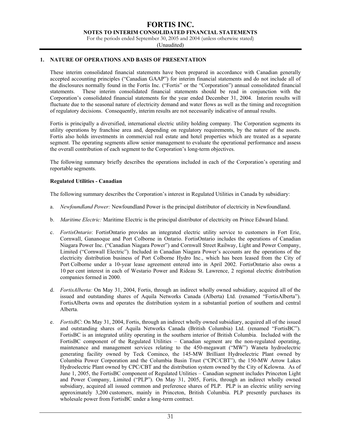**NOTES TO INTERIM CONSOLIDATED FINANCIAL STATEMENTS** 

For the periods ended September 30, 2005 and 2004 (unless otherwise stated)

(Unaudited)

## **1. NATURE OF OPERATIONS AND BASIS OF PRESENTATION**

These interim consolidated financial statements have been prepared in accordance with Canadian generally accepted accounting principles ("Canadian GAAP") for interim financial statements and do not include all of the disclosures normally found in the Fortis Inc. ("Fortis" or the "Corporation") annual consolidated financial statements. These interim consolidated financial statements should be read in conjunction with the Corporation's consolidated financial statements for the year ended December 31, 2004. Interim results will fluctuate due to the seasonal nature of electricity demand and water flows as well as the timing and recognition of regulatory decisions. Consequently, interim results are not necessarily indicative of annual results.

Fortis is principally a diversified, international electric utility holding company. The Corporation segments its utility operations by franchise area and, depending on regulatory requirements, by the nature of the assets. Fortis also holds investments in commercial real estate and hotel properties which are treated as a separate segment. The operating segments allow senior management to evaluate the operational performance and assess the overall contribution of each segment to the Corporation's long-term objectives.

The following summary briefly describes the operations included in each of the Corporation's operating and reportable segments.

## **Regulated Utilities - Canadian**

The following summary describes the Corporation's interest in Regulated Utilities in Canada by subsidiary:

- a. *Newfoundland Power:* Newfoundland Power is the principal distributor of electricity in Newfoundland.
- b. *Maritime Electric:* Maritime Electric is the principal distributor of electricity on Prince Edward Island.
- c. *FortisOntario*: FortisOntario provides an integrated electric utility service to customers in Fort Erie, Cornwall, Gananoque and Port Colborne in Ontario. FortisOntario includes the operations of Canadian Niagara Power Inc. ("Canadian Niagara Power") and Cornwall Street Railway, Light and Power Company, Limited ("Cornwall Electric"). Included in Canadian Niagara Power's accounts are the operations of the electricity distribution business of Port Colborne Hydro Inc., which has been leased from the City of Port Colborne under a 10-year lease agreement entered into in April 2002. FortisOntario also owns a 10 per cent interest in each of Westario Power and Rideau St. Lawrence, 2 regional electric distribution companies formed in 2000.
- d. *FortisAlberta:* On May 31, 2004, Fortis, through an indirect wholly owned subsidiary, acquired all of the issued and outstanding shares of Aquila Networks Canada (Alberta) Ltd. (renamed "FortisAlberta"). FortisAlberta owns and operates the distribution system in a substantial portion of southern and central Alberta.
- e. *FortisBC*: On May 31, 2004, Fortis, through an indirect wholly owned subsidiary, acquired all of the issued and outstanding shares of Aquila Networks Canada (British Columbia) Ltd. (renamed "FortisBC"). FortisBC is an integrated utility operating in the southern interior of British Columbia. Included with the FortisBC component of the Regulated Utilities – Canadian segment are the non-regulated operating, maintenance and management services relating to the 450-megawatt ("MW") Waneta hydroelectric generating facility owned by Teck Cominco, the 145-MW Brilliant Hydroelectric Plant owned by Columbia Power Corporation and the Columbia Basin Trust ("CPC/CBT"), the 150-MW Arrow Lakes Hydroelectric Plant owned by CPC/CBT and the distribution system owned by the City of Kelowna. As of June 1, 2005, the FortisBC component of Regulated Utilities – Canadian segment includes Princeton Light and Power Company, Limited ("PLP"). On May 31, 2005, Fortis, through an indirect wholly owned subsidiary, acquired all issued common and preference shares of PLP. PLP is an electric utility serving approximately 3,200 customers, mainly in Princeton, British Columbia. PLP presently purchases its wholesale power from FortisBC under a long-term contract.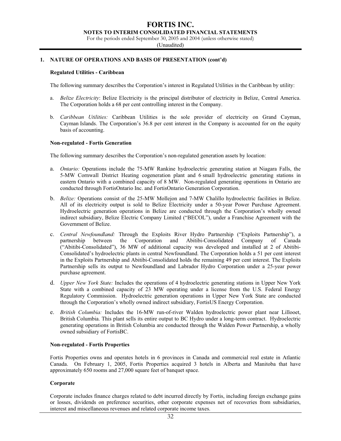## **FORTIS INC. NOTES TO INTERIM CONSOLIDATED FINANCIAL STATEMENTS**

For the periods ended September 30, 2005 and 2004 (unless otherwise stated)

(Unaudited)

## **1. NATURE OF OPERATIONS AND BASIS OF PRESENTATION (cont'd)**

#### **Regulated Utilities - Caribbean**

The following summary describes the Corporation's interest in Regulated Utilities in the Caribbean by utility:

- a. *Belize Electricity*: Belize Electricity is the principal distributor of electricity in Belize, Central America. The Corporation holds a 68 per cent controlling interest in the Company.
- b. *Caribbean Utilities:* Caribbean Utilities is the sole provider of electricity on Grand Cayman, Cayman Islands. The Corporation's 36.8 per cent interest in the Company is accounted for on the equity basis of accounting.

#### **Non-regulated - Fortis Generation**

The following summary describes the Corporation's non-regulated generation assets by location:

- a. *Ontario:* Operations include the 75-MW Rankine hydroelectric generating station at Niagara Falls, the 5-MW Cornwall District Heating cogeneration plant and 6 small hydroelectric generating stations in eastern Ontario with a combined capacity of 8 MW. Non-regulated generating operations in Ontario are conducted through FortisOntario Inc. and FortisOntario Generation Corporation.
- b. *Belize:* Operations consist of the 25-MW Mollejon and 7-MW Chalillo hydroelectric facilities in Belize. All of its electricity output is sold to Belize Electricity under a 50-year Power Purchase Agreement. Hydroelectric generation operations in Belize are conducted through the Corporation's wholly owned indirect subsidiary, Belize Electric Company Limited ("BECOL"), under a Franchise Agreement with the Government of Belize.
- c. *Central Newfoundland:* Through the Exploits River Hydro Partnership ("Exploits Partnership"), a partnership between the Corporation and Abitibi-Consolidated Company of Canada ("Abitibi-Consolidated"), 36 MW of additional capacity was developed and installed at 2 of Abitibi-Consolidated's hydroelectric plants in central Newfoundland. The Corporation holds a 51 per cent interest in the Exploits Partnership and Abitibi-Consolidated holds the remaining 49 per cent interest. The Exploits Partnership sells its output to Newfoundland and Labrador Hydro Corporation under a 25-year power purchase agreement.
- d. *Upper New York State:* Includes the operations of 4 hydroelectric generating stations in Upper New York State with a combined capacity of 23 MW operating under a license from the U.S. Federal Energy Regulatory Commission. Hydroelectric generation operations in Upper New York State are conducted through the Corporation's wholly owned indirect subsidiary, FortisUS Energy Corporation.
- e. *British Columbia:* Includes the 16-MW run-of-river Walden hydroelectric power plant near Lillooet, British Columbia. This plant sells its entire output to BC Hydro under a long-term contract. Hydroelectric generating operations in British Columbia are conducted through the Walden Power Partnership, a wholly owned subsidiary of FortisBC.

#### **Non-regulated - Fortis Properties**

Fortis Properties owns and operates hotels in 6 provinces in Canada and commercial real estate in Atlantic Canada. On February 1, 2005, Fortis Properties acquired 3 hotels in Alberta and Manitoba that have approximately 650 rooms and 27,000 square feet of banquet space.

#### **Corporate**

Corporate includes finance charges related to debt incurred directly by Fortis, including foreign exchange gains or losses, dividends on preference securities, other corporate expenses net of recoveries from subsidiaries, interest and miscellaneous revenues and related corporate income taxes.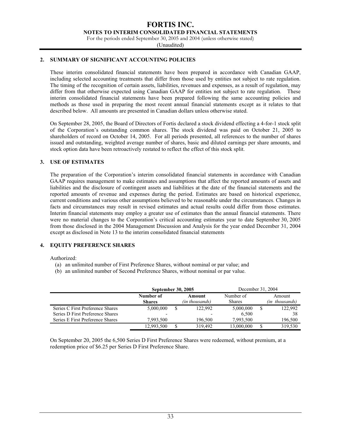**NOTES TO INTERIM CONSOLIDATED FINANCIAL STATEMENTS** 

For the periods ended September 30, 2005 and 2004 (unless otherwise stated)

(Unaudited)

## **2. SUMMARY OF SIGNIFICANT ACCOUNTING POLICIES**

These interim consolidated financial statements have been prepared in accordance with Canadian GAAP, including selected accounting treatments that differ from those used by entities not subject to rate regulation. The timing of the recognition of certain assets, liabilities, revenues and expenses, as a result of regulation, may differ from that otherwise expected using Canadian GAAP for entities not subject to rate regulation. These interim consolidated financial statements have been prepared following the same accounting policies and methods as those used in preparing the most recent annual financial statements except as it relates to that described below. All amounts are presented in Canadian dollars unless otherwise stated.

On September 28, 2005, the Board of Directors of Fortis declared a stock dividend effecting a 4-for-1 stock split of the Corporation's outstanding common shares. The stock dividend was paid on October 21, 2005 to shareholders of record on October 14, 2005. For all periods presented, all references to the number of shares issued and outstanding, weighted average number of shares, basic and diluted earnings per share amounts, and stock option data have been retroactively restated to reflect the effect of this stock split.

## **3. USE OF ESTIMATES**

The preparation of the Corporation's interim consolidated financial statements in accordance with Canadian GAAP requires management to make estimates and assumptions that affect the reported amounts of assets and liabilities and the disclosure of contingent assets and liabilities at the date of the financial statements and the reported amounts of revenue and expenses during the period. Estimates are based on historical experience, current conditions and various other assumptions believed to be reasonable under the circumstances. Changes in facts and circumstances may result in revised estimates and actual results could differ from those estimates. Interim financial statements may employ a greater use of estimates than the annual financial statements. There were no material changes to the Corporation's critical accounting estimates year to date September 30, 2005 from those disclosed in the 2004 Management Discussion and Analysis for the year ended December 31, 2004 except as disclosed in Note 13 to the interim consolidated financial statements

## **4. EQUITY PREFERENCE SHARES**

Authorized:

- (a) an unlimited number of First Preference Shares, without nominal or par value; and
- (b) an unlimited number of Second Preference Shares, without nominal or par value.

|                                  | <b>September 30, 2005</b>  |   |                          | December 31, 2004          |                          |
|----------------------------------|----------------------------|---|--------------------------|----------------------------|--------------------------|
|                                  | Number of<br><b>Shares</b> |   | Amount<br>(in thousands) | Number of<br><b>Shares</b> | Amount<br>(in thousands) |
| Series C First Preference Shares | 5,000,000                  | S | 122,992                  | 5,000,000                  | 122,992                  |
| Series D First Preference Shares |                            |   |                          | 6.500                      | 38                       |
| Series E First Preference Shares | 7.993.500                  |   | 196.500                  | 7.993.500                  | 196,500                  |
|                                  | 12,993,500                 |   | 319,492                  | 13,000,000                 | 319.530                  |

On September 20, 2005 the 6,500 Series D First Preference Shares were redeemed, without premium, at a redemption price of \$6.25 per Series D First Preference Share.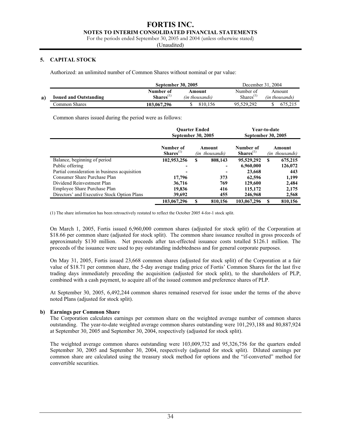**NOTES TO INTERIM CONSOLIDATED FINANCIAL STATEMENTS** 

For the periods ended September 30, 2005 and 2004 (unless otherwise stated)

(Unaudited)

## **5. CAPITAL STOCK**

Authorized: an unlimited number of Common Shares without nominal or par value:

|    |                               | <b>September 30, 2005</b>   |                          |                                    | December 31, 2004        |
|----|-------------------------------|-----------------------------|--------------------------|------------------------------------|--------------------------|
| a) | <b>Issued and Outstanding</b> | Number of<br>$Shares^{(1)}$ | Amount<br>(in thousands) | Number of<br>Shares <sup>(1)</sup> | Amount<br>(in thousands) |
|    | Common Shares                 | 103.067.296                 | 810.156                  | 95.529.292                         |                          |

Common shares issued during the period were as follows:

|                                               | <b>Ouarter Ended</b><br>September 30, 2005 |                          | Year-to-date<br>September 30, 2005 |   |                          |  |
|-----------------------------------------------|--------------------------------------------|--------------------------|------------------------------------|---|--------------------------|--|
|                                               | Number of<br>$Shares(1)$                   | Amount<br>(in thousands) | Number of<br>$Shares(1)$           |   | Amount<br>(in thousands) |  |
| Balance, beginning of period                  | 102,953,256                                | \$<br>808,143            | 95,529,292                         | S | 675,215                  |  |
| Public offering                               | ۰                                          | ۰                        | 6,960,000                          |   | 126,072                  |  |
| Partial consideration in business acquisition | ۰                                          | ٠                        | 23,668                             |   | 443                      |  |
| Consumer Share Purchase Plan                  | 17,796                                     | 373                      | 62,596                             |   | 1,199                    |  |
| Dividend Reinvestment Plan                    | 36,716                                     | 769                      | 129,600                            |   | 2,484                    |  |
| Employee Share Purchase Plan                  | 19,836                                     | 416                      | 115,172                            |   | 2,175                    |  |
| Directors' and Executive Stock Option Plans   | 39,692                                     | 455                      | 246,968                            |   | 2,568                    |  |
|                                               | 103,067,296                                | 810,156                  | 103,067,296                        |   | 810,156                  |  |

(1) The share information has been retroactively restated to reflect the October 2005 4-for-1 stock split.

On March 1, 2005, Fortis issued 6,960,000 common shares (adjusted for stock split) of the Corporation at \$18.66 per common share (adjusted for stock split). The common share issuance resulted in gross proceeds of approximately \$130 million. Net proceeds after tax-effected issuance costs totalled \$126.1 million. The proceeds of the issuance were used to pay outstanding indebtedness and for general corporate purposes.

On May 31, 2005, Fortis issued 23,668 common shares (adjusted for stock split) of the Corporation at a fair value of \$18.71 per common share, the 5-day average trading price of Fortis' Common Shares for the last five trading days immediately preceding the acquisition (adjusted for stock split), to the shareholders of PLP, combined with a cash payment, to acquire all of the issued common and preference shares of PLP.

At September 30, 2005, 6,492,244 common shares remained reserved for issue under the terms of the above noted Plans (adjusted for stock split).

## **b) Earnings per Common Share**

The Corporation calculates earnings per common share on the weighted average number of common shares outstanding. The year-to-date weighted average common shares outstanding were 101,293,188 and 80,887,924 at September 30, 2005 and September 30, 2004, respectively (adjusted for stock split).

The weighted average common shares outstanding were 103,009,732 and 95,326,756 for the quarters ended September 30, 2005 and September 30, 2004, respectively (adjusted for stock split). Diluted earnings per common share are calculated using the treasury stock method for options and the "if-converted" method for convertible securities.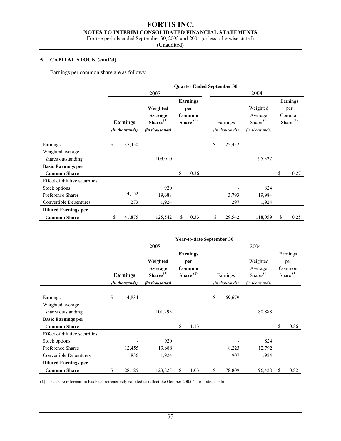# **NOTES TO INTERIM CONSOLIDATED FINANCIAL STATEMENTS**

For the periods ended September 30, 2005 and 2004 (unless otherwise stated)

(Unaudited)

# **5. CAPITAL STOCK (cont'd)**

Earnings per common share are as follows:

|                                |                                   |                                                                  |     | <b>Quarter Ended September 30</b>                        |                            |                                                                |                                                   |
|--------------------------------|-----------------------------------|------------------------------------------------------------------|-----|----------------------------------------------------------|----------------------------|----------------------------------------------------------------|---------------------------------------------------|
|                                |                                   | 2005                                                             |     |                                                          |                            | 2004                                                           |                                                   |
|                                | <b>Earnings</b><br>(in thousands) | Weighted<br>Average<br>$Shares$ <sup>(1)</sup><br>(in thousands) |     | <b>Earnings</b><br>per<br>Common<br>Share <sup>(1)</sup> | Earnings<br>(in thousands) | Weighted<br>Average<br>Shares <sup>(1)</sup><br>(in thousands) | Earnings<br>per<br>Common<br>Share <sup>(1)</sup> |
|                                |                                   |                                                                  |     |                                                          |                            |                                                                |                                                   |
| Earnings                       | \$<br>37,450                      |                                                                  |     |                                                          | \$<br>25,452               |                                                                |                                                   |
| Weighted average               |                                   |                                                                  |     |                                                          |                            |                                                                |                                                   |
| shares outstanding             |                                   | 103,010                                                          |     |                                                          |                            | 95,327                                                         |                                                   |
| <b>Basic Earnings per</b>      |                                   |                                                                  |     |                                                          |                            |                                                                |                                                   |
| <b>Common Share</b>            |                                   |                                                                  | \$. | 0.36                                                     |                            |                                                                | \$<br>0.27                                        |
| Effect of dilutive securities: |                                   |                                                                  |     |                                                          |                            |                                                                |                                                   |
| Stock options                  |                                   | 920                                                              |     |                                                          |                            | 824                                                            |                                                   |
| Preference Shares              | 4,152                             | 19,688                                                           |     |                                                          | 3,793                      | 19,984                                                         |                                                   |
| Convertible Debentures         | 273                               | 1,924                                                            |     |                                                          | 297                        | 1,924                                                          |                                                   |
| <b>Diluted Earnings per</b>    |                                   |                                                                  |     |                                                          |                            |                                                                |                                                   |
| <b>Common Share</b>            | \$<br>41,875                      | 125,542                                                          | \$  | 0.33                                                     | \$<br>29,542               | 118,059                                                        | \$<br>0.25                                        |

|                                |                                   |                                                      | Year-to-date September 30                         |                            |                                                                  |    |                                                   |
|--------------------------------|-----------------------------------|------------------------------------------------------|---------------------------------------------------|----------------------------|------------------------------------------------------------------|----|---------------------------------------------------|
|                                |                                   | 2005                                                 |                                                   |                            | 2004                                                             |    |                                                   |
|                                | <b>Earnings</b><br>(in thousands) | Weighted<br>Average<br>$Shares(1)$<br>(in thousands) | Earnings<br>per<br>Common<br>Share <sup>(1)</sup> | Earnings<br>(in thousands) | Weighted<br>Average<br>$Shares$ <sup>(1)</sup><br>(in thousands) |    | Earnings<br>per<br>Common<br>Share <sup>(1)</sup> |
| Earnings<br>Weighted average   | \$<br>114,834                     |                                                      |                                                   | \$<br>69,679               |                                                                  |    |                                                   |
| shares outstanding             |                                   | 101,293                                              |                                                   |                            | 80,888                                                           |    |                                                   |
| <b>Basic Earnings per</b>      |                                   |                                                      |                                                   |                            |                                                                  |    |                                                   |
| <b>Common Share</b>            |                                   |                                                      | \$<br>1.13                                        |                            |                                                                  | \$ | 0.86                                              |
| Effect of dilutive securities: |                                   |                                                      |                                                   |                            |                                                                  |    |                                                   |
| Stock options                  |                                   | 920                                                  |                                                   |                            | 824                                                              |    |                                                   |
| Preference Shares              | 12,455                            | 19,688                                               |                                                   | 8,223                      | 12,792                                                           |    |                                                   |
| <b>Convertible Debentures</b>  | 836                               | 1,924                                                |                                                   | 907                        | 1,924                                                            |    |                                                   |
| <b>Diluted Earnings per</b>    |                                   |                                                      |                                                   |                            |                                                                  |    |                                                   |
| <b>Common Share</b>            | \$<br>128,125                     | 123,825                                              | \$<br>1.03                                        | \$<br>78,809               | 96,428                                                           | S  | 0.82                                              |

(1) The share information has been retroactively restated to reflect the October 2005 4-for-1 stock split.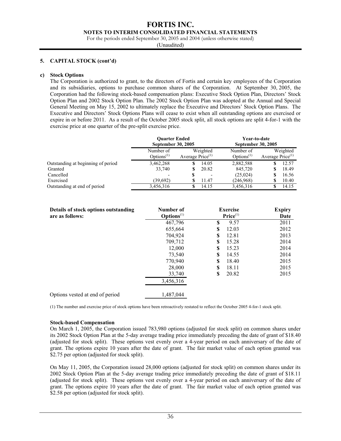#### **NOTES TO INTERIM CONSOLIDATED FINANCIAL STATEMENTS**

For the periods ended September 30, 2005 and 2004 (unless otherwise stated)

(Unaudited)

## **5. CAPITAL STOCK (cont'd)**

#### **c) Stock Options**

The Corporation is authorized to grant, to the directors of Fortis and certain key employees of the Corporation and its subsidiaries, options to purchase common shares of the Corporation. At September 30, 2005, the Corporation had the following stock-based compensation plans: Executive Stock Option Plan, Directors' Stock Option Plan and 2002 Stock Option Plan. The 2002 Stock Option Plan was adopted at the Annual and Special General Meeting on May 15, 2002 to ultimately replace the Executive and Directors' Stock Option Plans. The Executive and Directors' Stock Options Plans will cease to exist when all outstanding options are exercised or expire in or before 2011. As a result of the October 2005 stock split, all stock options are split 4-for-1 with the exercise price at one quarter of the pre-split exercise price.

|                                    | <b>Ouarter Ended</b><br>September 30, 2005 |                                 | Year-to-date<br>September 30, 2005  |                                |
|------------------------------------|--------------------------------------------|---------------------------------|-------------------------------------|--------------------------------|
|                                    | Number of<br>Options <sup>(1)</sup>        | Weighted<br>Average Price $(1)$ | Number of<br>Options <sup>(1)</sup> | Weighted<br>Average $Price(1)$ |
| Outstanding at beginning of period | 3,462,268                                  | 14.05<br>S                      | 2,882,588                           | 12.57<br>S                     |
| Granted                            | 33,740                                     | 20.82<br>S                      | 845,720                             | 18.49<br>S                     |
| Cancelled                          | $\overline{\phantom{0}}$                   | \$<br>$\overline{\phantom{0}}$  | (25,024)                            | 16.56<br>S                     |
| Exercised                          | (39,692)                                   | 11.47                           | (246,968)                           | 10.40<br>S                     |
| Outstanding at end of period       | 3,456,316                                  | 14.15                           | 3,456,316                           | 14.15<br>S                     |

| Details of stock options outstanding<br>are as follows: | Number of<br>$\mathbf{Options}^{(1)}$ |    | <b>Exercise</b><br>Price <sup>(1)</sup> | <b>Expiry</b><br>Date |
|---------------------------------------------------------|---------------------------------------|----|-----------------------------------------|-----------------------|
|                                                         | 467,796                               | \$ | 9.57                                    | 2011                  |
|                                                         | 655,664                               | S  | 12.03                                   | 2012                  |
|                                                         | 704,924                               | \$ | 12.81                                   | 2013                  |
|                                                         | 709,712                               | S  | 15.28                                   | 2014                  |
|                                                         | 12,000                                | \$ | 15.23                                   | 2014                  |
|                                                         | 73,540                                | S  | 14.55                                   | 2014                  |
|                                                         | 770,940                               | \$ | 18.40                                   | 2015                  |
|                                                         | 28,000                                | \$ | 18.11                                   | 2015                  |
|                                                         | 33,740                                | \$ | 20.82                                   | 2015                  |
|                                                         | 3,456,316                             |    |                                         |                       |
| Options vested at end of period                         | 1,487,044                             |    |                                         |                       |

(1) The number and exercise price of stock options have been retroactively restated to reflect the October 2005 4-for-1 stock split.

#### **Stock-based Compensation**

On March 1, 2005, the Corporation issued 783,980 options (adjusted for stock split) on common shares under its 2002 Stock Option Plan at the 5-day average trading price immediately preceding the date of grant of \$18.40 (adjusted for stock split). These options vest evenly over a 4-year period on each anniversary of the date of grant. The options expire 10 years after the date of grant. The fair market value of each option granted was \$2.75 per option (adjusted for stock split).

On May 11, 2005, the Corporation issued 28,000 options (adjusted for stock split) on common shares under its 2002 Stock Option Plan at the 5-day average trading price immediately preceding the date of grant of \$18.11 (adjusted for stock split). These options vest evenly over a 4-year period on each anniversary of the date of grant. The options expire 10 years after the date of grant. The fair market value of each option granted was \$2.58 per option (adjusted for stock split).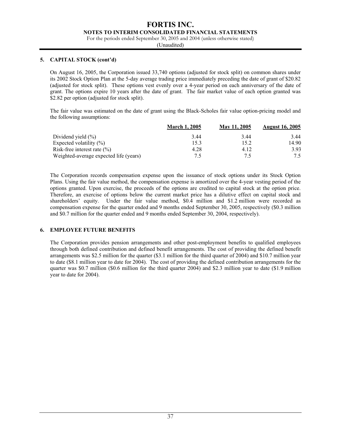**NOTES TO INTERIM CONSOLIDATED FINANCIAL STATEMENTS** 

For the periods ended September 30, 2005 and 2004 (unless otherwise stated)

(Unaudited)

## **5. CAPITAL STOCK (cont'd)**

On August 16, 2005, the Corporation issued 33,740 options (adjusted for stock split) on common shares under its 2002 Stock Option Plan at the 5-day average trading price immediately preceding the date of grant of \$20.82 (adjusted for stock split). These options vest evenly over a 4-year period on each anniversary of the date of grant. The options expire 10 years after the date of grant. The fair market value of each option granted was \$2.82 per option (adjusted for stock split).

The fair value was estimated on the date of grant using the Black-Scholes fair value option-pricing model and the following assumptions:

|                                        | <b>March 1, 2005</b> | May 11, 2005 | <b>August 16, 2005</b> |
|----------------------------------------|----------------------|--------------|------------------------|
| Dividend yield $(\% )$                 | 3.44                 | 3.44         | 3.44                   |
| Expected volatility $(\% )$            | 15.3                 | 15.2         | 14.90                  |
| Risk-free interest rate $(\% )$        | 4.28                 | 4.12         | 3.93                   |
| Weighted-average expected life (years) | 7.5                  | 7.5          | 7.5                    |

The Corporation records compensation expense upon the issuance of stock options under its Stock Option Plans. Using the fair value method, the compensation expense is amortized over the 4-year vesting period of the options granted. Upon exercise, the proceeds of the options are credited to capital stock at the option price. Therefore, an exercise of options below the current market price has a dilutive effect on capital stock and shareholders' equity. Under the fair value method, \$0.4 million and \$1.2 million were recorded as compensation expense for the quarter ended and 9 months ended September 30, 2005, respectively (\$0.3 million and \$0.7 million for the quarter ended and 9 months ended September 30, 2004, respectively).

## **6. EMPLOYEE FUTURE BENEFITS**

The Corporation provides pension arrangements and other post-employment benefits to qualified employees through both defined contribution and defined benefit arrangements. The cost of providing the defined benefit arrangements was \$2.5 million for the quarter (\$3.1 million for the third quarter of 2004) and \$10.7 million year to date (\$8.1 million year to date for 2004). The cost of providing the defined contribution arrangements for the quarter was \$0.7 million (\$0.6 million for the third quarter 2004) and \$2.3 million year to date (\$1.9 million year to date for 2004).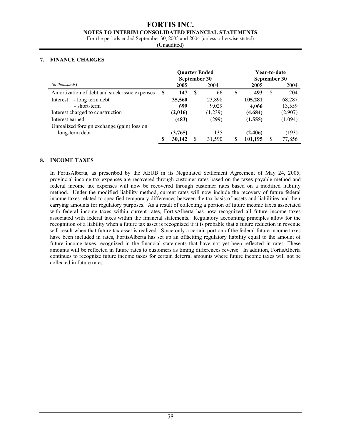#### **NOTES TO INTERIM CONSOLIDATED FINANCIAL STATEMENTS**

For the periods ended September 30, 2005 and 2004 (unless otherwise stated)

(Unaudited)

## **7. FINANCE CHARGES**

|                                               |   | <b>Ouarter Ended</b><br>September 30 |          |         |    | Year-to-date<br>September 30 |    |         |  |
|-----------------------------------------------|---|--------------------------------------|----------|---------|----|------------------------------|----|---------|--|
| (in thousands)                                |   | 2005                                 |          | 2004    |    | 2005                         |    | 2004    |  |
| Amortization of debt and stock issue expenses | S | 147                                  | <b>S</b> | 66      | -S | 493                          | S  | 204     |  |
| - long term debt<br>Interest                  |   | 35,560                               |          | 23,898  |    | 105,281                      |    | 68,287  |  |
| - short-term                                  |   | 699                                  |          | 9.029   |    | 4,066                        |    | 13,559  |  |
| Interest charged to construction              |   | (2,016)                              |          | (1,239) |    | (4,684)                      |    | (2,907) |  |
| Interest earned                               |   | (483)                                |          | (299)   |    | (1, 555)                     |    | (1,094) |  |
| Unrealized foreign exchange (gain) loss on    |   |                                      |          |         |    |                              |    |         |  |
| long-term debt                                |   | (3,765)                              |          | 135     |    | (2,406)                      |    | (193)   |  |
|                                               | S | 30,142                               |          | 31,590  |    | 101,195                      | \$ | 77,856  |  |

## **8. INCOME TAXES**

In FortisAlberta, as prescribed by the AEUB in its Negotiated Settlement Agreement of May 24, 2005, provincial income tax expenses are recovered through customer rates based on the taxes payable method and federal income tax expenses will now be recovered through customer rates based on a modified liability method. Under the modified liability method, current rates will now include the recovery of future federal income taxes related to specified temporary differences between the tax basis of assets and liabilities and their carrying amounts for regulatory purposes. As a result of collecting a portion of future income taxes associated with federal income taxes within current rates, FortisAlberta has now recognized all future income taxes associated with federal taxes within the financial statements. Regulatory accounting principles allow for the recognition of a liability when a future tax asset is recognized if it is probable that a future reduction in revenue will result when that future tax asset is realized. Since only a certain portion of the federal future income taxes have been included in rates, FortisAlberta has set up an offsetting regulatory liability equal to the amount of future income taxes recognized in the financial statements that have not yet been reflected in rates. These amounts will be reflected in future rates to customers as timing differences reverse. In addition, FortisAlberta continues to recognize future income taxes for certain deferral amounts where future income taxes will not be collected in future rates.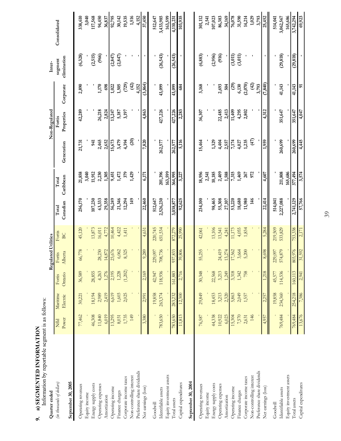| Š                  |
|--------------------|
| $\frac{1}{2}$<br>[ |
|                    |
| LINUIKU            |
| D INFOP            |
| <b>CHINTED</b>     |
| こくじこ               |
| í                  |
|                    |
|                    |

Information by reportable segment is as follows: Information by reportable segment is as follows:

| Quarter ended              |         |          |         | Regulated Utilities          |         |           |           |               | Non-Regulated |               | Inter-      |              |
|----------------------------|---------|----------|---------|------------------------------|---------|-----------|-----------|---------------|---------------|---------------|-------------|--------------|
| (in thousands of dollars)  | Nfld    | Maritime | Fortis  | Fortis                       | Fortis  | Total     | Total     |               | Fortis        |               | segment     | Consolidated |
|                            | Power   | Electric | Ontario | Alberta                      | BC      | Canadian  | Caribbean | Generation    | Properties    | Corporate     | elimination |              |
| September 30, 2005         |         |          |         |                              |         |           |           |               |               |               |             |              |
| Operating revenues         | 77,462  | 30,221   | 36,589  | 66,778                       | 45,120  | 256,170   | 21,858    | 21,731        | 42,289        | 2,890         | (6,328)     | 338,610      |
| Equity income              |         |          |         |                              |         |           | 3,040     |               |               |               |             | 3,040        |
| Energy supply costs        | 46,308  | 18,194   | 28,855  |                              | 13,873  | 107,230   | 11,912    | 941           |               |               | (2,515)     | 117,568      |
| Operating expenses         | 11,840  | 2,989    | 4,263   | 28,230                       | 16,011  | 63,333    | 2,230     | 2,465         | 26,218        | 1,170         | (966)       | 94,450       |
| Amortization               | 6,019   | 2,419    | 1,276   | 14,872                       | 4,772   | 29,358    | 1,305     | 2,652         | 2,824         | 698           |             | 36,837       |
| Operating income           | 13,295  | 6,619    | 2,195   | 23,676                       | 10,464  | 56,249    | 9,451     | 15,673        | 13,247        | 1,022         | (2, 847)    | 92,795       |
| Finance charges            | 8,031   | 1,603    | 1,228   | 6,062                        | 4,422   | 21,346    | 1,472     | 3,479         | 5,187         | 1,505         | (2, 847)    | 30,142       |
| Corporate income taxes     | 1,735   | 2,025    | (1,202) | 8,325                        | 1,411   | 12,294    | 379       | 4,394         | 3,197         | (729)         |             | 19,535       |
| Non-controlling interest   | 149     |          |         |                              |         | 149       | 1,429     | $\widehat{c}$ |               | $\widehat{d}$ |             | 1,516        |
| Preference share dividends |         |          |         |                              |         |           |           |               |               | 4,152         |             | 4,152        |
| Net earnings (loss)        | 3,380   | 2.991    | 2,169   | 9,289                        | 4,631   | 22,460    | 6,171     | 7,820         | 4,863         | (3,864)       |             | 37,450       |
| Goodwill                   |         | 19,858   | 42,947  |                              | 220,745 | 512,647   |           |               |               |               |             | 512,647      |
| Identifiable assets        | 783,650 | 263,374  | 118,936 | 08,736<br>229,097<br>708,736 | 651,534 | 2,526,230 | 201,396   | 262,577       | 427,226       | 43,099        | (26, 543)   | 3,433,985    |
| Equity investment assets   |         |          |         |                              |         |           | 163,599   |               |               |               |             | 163,599      |
| Total assets               | 783,650 | 283,232  | 161,883 | 37,833<br>$\alpha$           | 872,279 | 3,038,877 | 364,995   | 262,577       | 427,226       | 43,099        | (26, 543)   | 4,110,231    |
| Capital expenditures       | 11,813  | 12,300   | 2,716   | 39,806                       | 25,990  | 92,625    | 3,227     | 5,116         | 2,283         | 684           |             | 103,935      |
| September 30, 2004         |         |          |         |                              |         |           |           |               |               |               |             |              |
| Operating revenues         | 76,587  | 29,849   | 30,348  | 55,255                       | 42,061  | 234,100   | 18,956    | 15,464        | 36,307        | 3,168         | (6, 883)    | 301,112      |
| Equity income              |         |          |         |                              |         |           | 2,541     |               |               |               |             | 2,541        |
| Energy supply costs        | 44,338  | 18,453   | 22,568  |                              | 13,106  | 98,465    | 10,185    | 1,329         |               |               | (2,956)     | 107,023      |
| Operating expenses         | 10,922  | 3,213    | 3,213   | 24,419                       | 13,541  | 55,308    | 2,409     | 4,404         | 22,485        | 2,693         | (916)       | 86,383       |
| Amortization               | 6,023   | 2.320    | 1,249   | 13,274                       | 4,241   | 27,107    | 1,588     | 2,557         | 2,413         | 504           |             | 34,169       |
| Operating income           | 15,304  | 5,863    | 3,318   | 7,562                        | 1173    | 53,220    | 7,315     | 7,174         | 11,409        | $\widehat{c}$ | (3,011)     | 76,078       |
| Finance charges            | 7,570   | 2,049    | 1,342   | 3,664                        | 4,055   | 18,680    | 1,469     | 4,027         | 4,295         | 6,130         | (3,011)     | 31,590       |
| Corporate income taxes     | 2,631   | 1,557    | 758     | 5,200                        | 1,834   | 11,980    | 267       | 1,235         | 2,802         | (2,070)       |             | 14,214       |
| Non-controlling interest   | 146     |          |         |                              |         | 146       | 972       | (47)          |               | $\widehat{d}$ |             | 1,029        |
| Preference share dividends |         |          |         |                              |         |           |           |               |               | 3,793         |             | 3,793        |
| Net earnings (loss)        | 4,957   | 2,257    | 1,218   | 8,698                        | 5,284   | 22,414    | 4,607     | 1,959         | 4,312         | (7, 840)      |             | 25,452       |
| Goodwill                   |         | 19,858   | 45,577  | 229,097                      | 219,509 | 514,041   |           |               |               |               |             | 514,041      |
| Identifiable assets        | 769,484 | 234,360  | 114,536 | 574,879                      | 533,829 | 2,227,088 | 211,808   | 260,699       | 351,647       | 41,143        | (29, 818)   | 3,062,567    |
| Equity investment assets   |         |          |         |                              |         |           | 165,686   |               |               |               |             | 165,686      |
| Total assets               | 769,484 | 254,218  | 160,113 | 13,976<br>$\infty$           | 753,338 | 2,741,129 | 377,494   | 260,699       | 351,647       | 41,143        | (29, 818)   | 3,742,294    |
| Capital expenditures       | 13,676  | 7,386    | 2,941   | 31,592                       | 2,171   | 57,766    | 3,574     | 4,445         | 4,047         | $\tilde{a}$   |             | 69,923       |

39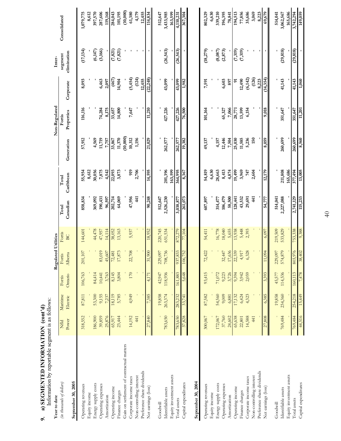| a) SEGMENTED INFORMATION (cont' | Information by reportable segment is as follows: |
|---------------------------------|--------------------------------------------------|
| க்                              | ישט טוטעי                                        |

| Information by reportable segment is as follows:<br>a) SEGMENTED INFORMATION (cont'd)<br>Year to date<br>o. |                  |                      |                   | Regulated Utilities |                 |                   |                    |                 | Non-Regulated        |                    | Inter-                 |                   |
|-------------------------------------------------------------------------------------------------------------|------------------|----------------------|-------------------|---------------------|-----------------|-------------------|--------------------|-----------------|----------------------|--------------------|------------------------|-------------------|
| September 30, 2005<br>(in thousands of dollars)                                                             | Power<br>Nfld    | Maritime<br>Electric | Ontario<br>Fortis | Alberta<br>Fortis   | Fortis<br>BC    | Canadian<br>Total | Caribbean<br>Total | Generation      | Properties<br>Fortis | Corporate          | elimination<br>segment | Consolidated      |
| Operating revenues                                                                                          | 318,552          | 87,811               | 106,763           | $201{,}107$         | 144,601         | 858,834           | 55,954             | 57,912          | 116,116              | 8,093              | (17, 134)              | 1,079,775         |
| Energy supply costs<br>Equity income                                                                        | 186,900          | 53,300               | 84,414            |                     | 44,478          | 369,092           | 30,056<br>8,612    | 4,569           |                      |                    | (6,147)                | 397,570<br>8,612  |
| Operating expenses                                                                                          | 39,859           | 9,155                | 10,441            | 83,019              | 47,957          | 190,431           | 7,875              | 11,719          | 74,284               | 6,463              | (3,166)                | 287,606           |
| Amortization                                                                                                | 25,876           | 7,237                | 3,763             | 45,607              | 14,114          | 96,597            | 4,542              | 7,757           | 8,175                | 2,097              |                        | 119,168           |
| Operating income                                                                                            | 65,917           | 18,119               | 8,145             | 72,481              | 38,052          | 202,714           | 22,093             | 33,867          | 33,657               | (467)              | (7, 821)               | 284,043           |
| Finance charges                                                                                             | 23,444           | 5,785                | 3,804             | 17,873              | 13,163          | 64,069            | 3,873              | 11,370          | 14,800               | 14,904             | (7, 821)               | 101,195           |
| Gain on settlement of contractual matters                                                                   |                  |                      |                   |                     |                 |                   |                    | (10,000)        |                      |                    |                        | (10,000)          |
| Non-controlling interest<br>Corporate income taxes                                                          | 14,192<br>441    | 4,949                | 170               | 22,708              | 5,937           | 47,956<br>441     | 919<br>2,706       | 1,156<br>10,312 | 7,647                | (124)<br>(5,454)   |                        | 4,179<br>61,380   |
| Preference share dividends                                                                                  |                  |                      |                   |                     |                 |                   |                    |                 |                      | 12,455             |                        | 12,455            |
| Net earnings (loss)                                                                                         | 27,840           | 7,385                | 4,171             | 31,900              | 18,952          | 90,248            | 14,595             | 21,029          | $\frac{11,210}{2}$   | (22,248)           |                        | 114,834           |
| Goodwill                                                                                                    |                  | 19,858               | 42,947            | 229,097             | 220,745         | 512,647           |                    |                 |                      |                    |                        | 512,647           |
| Identifiable assets                                                                                         | 783,650          | 263,374              | 118,936           | 708,736             | 651,534         | 2,526,230         | 201,396            | 262,577         | 427,226              | 43,099             | (26, 543)              | 3,433,985         |
| Equity investment assets                                                                                    |                  |                      |                   |                     |                 |                   | 163,599            |                 |                      |                    |                        | 163,599           |
| Total assets                                                                                                | 783,650          | 283,232              | 161,883           | 833<br>937          | 872,279         | 3,038,877         | 364,995            | 262,577         | 427,226              | 43,099             | (26, 543)              | 4,110,231         |
| Capital expenditures                                                                                        | 37,828           | 33,741               | 5,648             | 752<br>106,         | 77,104          | 261,073           | 8,367              | 19,382          | 76,500               | 1,982              |                        | 367,304           |
| September 30, 2004                                                                                          |                  |                      |                   |                     |                 |                   |                    |                 |                      |                    |                        |                   |
| Operating revenues                                                                                          | 300,067          | 87,582               | 93,415            | 72,422              | 54,411          | 607,897           | 54,819             | 49,137          | 101,164              | 7,591              | (18,279)               | 802,329           |
| Equity income                                                                                               |                  |                      |                   |                     |                 |                   | 6,630              |                 |                      |                    |                        | 6,630             |
| Energy supply costs                                                                                         | 172,067          | 54,560               | 71,072            |                     | 16,778          | 314,477           | 28,663             | 4,157           |                      |                    | (8,087)                | 339,210           |
| Operating expenses                                                                                          | 37,760           | 9,009                | 9,223             | 32,447              | 18,040          | 106,479           | 8,413              | 12,446          | 65,327               | 6,603              | (2, 873)               | 196,395           |
| Amortization                                                                                                | 24,602<br>65,638 | 17,132<br>6,881      | 3,726<br>9,394    | 22,339<br>17,636    | 13,938<br>5,655 | 58,500<br>128,441 | 4,874              | 25,030<br>7,504 | 7,066<br>28,771      | $\tilde{e}$<br>897 |                        | 194,513<br>78,841 |
| Operating income<br>Finance charges                                                                         | 22,801           | 6,424                | 3,942             | 4,917               | 5,448           | 43,532            | 3,969<br>19,499    | 11,585          | 13,599               | 12,490             | (7,319)<br>(7,319)     | 77,856            |
| Corporate income taxes                                                                                      | 14,588           | 4,323                | 2,059             | 6,328               | 2,393           | 29,691            | 747                | 5,236           | 6,154                | (6,142)            |                        | 35,686            |
| Non-controlling interest                                                                                    | 441              |                      |                   |                     |                 | 441               | 2,604              | 150             |                      | $(126)$            |                        | 3,069             |
| Preference share dividends                                                                                  |                  |                      |                   |                     |                 |                   |                    |                 |                      | 8,223              |                        | 8,223             |
| Net earnings (loss)                                                                                         | 27,808           | 6,385                | 3,393             | 094<br>$\Xi$        | 6,097           | 54,777            | 12,179             | 8,059           | 9,018                | (14, 354)          |                        | 69,679            |
| Goodwill                                                                                                    |                  | 19,858               | 45,577            | 229,097             | 219,509         | 514,041           |                    |                 |                      |                    |                        | 514,041           |
| Identifiable assets                                                                                         | 769,484          | 234,360              | 114,536           | 574,879             | 533,829         | 2,227,088         | 211,808            | 260,699         | 351,647              | 41,143             | (29, 818)              | 3,062,567         |
| Equity investment assets                                                                                    |                  |                      |                   |                     |                 |                   | 165,686            |                 |                      |                    |                        | 165,686           |
| Total assets                                                                                                | 769,484          | 254,218              | 160,113           | 803,976             | 753,338         | 2,741,129         | 377,494            | 260,699         | 351,647              | 41,143             | (29, 818)              | 3,742,294         |
| Capital expenditures                                                                                        | 44,516           | 15,449               | 7,478             | 402<br>38,          | 9,388           | 115,233           | 13,005             | 8,560           | 11,201               | 1,060              | $\blacksquare$         | 149,059           |

40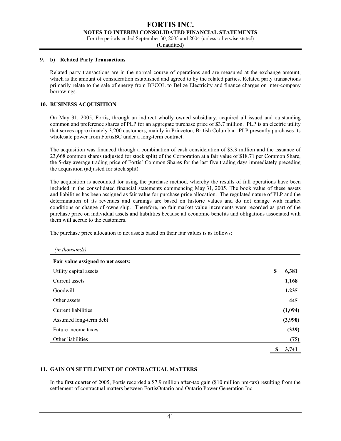**NOTES TO INTERIM CONSOLIDATED FINANCIAL STATEMENTS** 

For the periods ended September 30, 2005 and 2004 (unless otherwise stated)

(Unaudited)

#### **9. b) Related Party Transactions**

Related party transactions are in the normal course of operations and are measured at the exchange amount, which is the amount of consideration established and agreed to by the related parties. Related party transactions primarily relate to the sale of energy from BECOL to Belize Electricity and finance charges on inter-company borrowings.

## **10. BUSINESS ACQUISITION**

On May 31, 2005, Fortis, through an indirect wholly owned subsidiary, acquired all issued and outstanding common and preference shares of PLP for an aggregate purchase price of \$3.7 million. PLP is an electric utility that serves approximately 3,200 customers, mainly in Princeton, British Columbia. PLP presently purchases its wholesale power from FortisBC under a long-term contract.

The acquisition was financed through a combination of cash consideration of \$3.3 million and the issuance of 23,668 common shares (adjusted for stock split) of the Corporation at a fair value of \$18.71 per Common Share, the 5-day average trading price of Fortis' Common Shares for the last five trading days immediately preceding the acquisition (adjusted for stock split).

The acquisition is accounted for using the purchase method, whereby the results of full operations have been included in the consolidated financial statements commencing May 31, 2005. The book value of these assets and liabilities has been assigned as fair value for purchase price allocation. The regulated nature of PLP and the determination of its revenues and earnings are based on historic values and do not change with market conditions or change of ownership. Therefore, no fair market value increments were recorded as part of the purchase price on individual assets and liabilities because all economic benefits and obligations associated with them will accrue to the customers.

The purchase price allocation to net assets based on their fair values is as follows:

| (in thousands) |  |
|----------------|--|
|----------------|--|

| Fair value assigned to net assets: |             |
|------------------------------------|-------------|
| Utility capital assets             | \$<br>6,381 |
| Current assets                     | 1,168       |
| Goodwill                           | 1,235       |
| Other assets                       | 445         |
| Current liabilities                | (1,094)     |
| Assumed long-term debt             | (3,990)     |
| Future income taxes                | (329)       |
| Other liabilities                  | (75)        |
|                                    | \$<br>3,741 |

## **11. GAIN ON SETTLEMENT OF CONTRACTUAL MATTERS**

In the first quarter of 2005, Fortis recorded a \$7.9 million after-tax gain (\$10 million pre-tax) resulting from the settlement of contractual matters between FortisOntario and Ontario Power Generation Inc.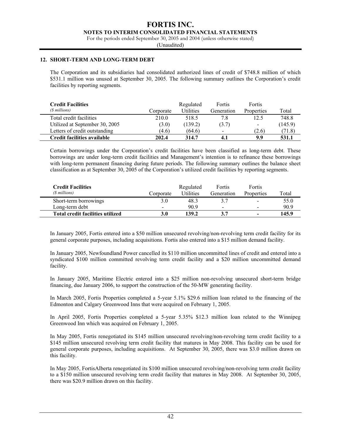#### **NOTES TO INTERIM CONSOLIDATED FINANCIAL STATEMENTS**

For the periods ended September 30, 2005 and 2004 (unless otherwise stated)

(Unaudited)

#### **12. SHORT-TERM AND LONG-TERM DEBT**

The Corporation and its subsidiaries had consolidated authorized lines of credit of \$748.8 million of which \$531.1 million was unused at September 30, 2005. The following summary outlines the Corporation's credit facilities by reporting segments.

| <b>Credit Facilities</b><br>(\$ millions) | Corporate | Regulated<br><b>Utilities</b> | Fortis<br>Generation     | Fortis<br>Properties     | Total   |
|-------------------------------------------|-----------|-------------------------------|--------------------------|--------------------------|---------|
| Total credit facilities                   | 210.0     | 518.5                         | 7.8                      | 12.5                     | 748.8   |
| Utilized at September 30, 2005            | (3.0)     | (139.2)                       | (3.7)                    | $\overline{\phantom{a}}$ | (145.9) |
| Letters of credit outstanding             | (4.6)     | (64.6)                        | $\overline{\phantom{a}}$ | (2.6)                    | (71.8)  |
| Credit facilities available               | 202.4     | 314.7                         | 4.1                      | 9.9                      | 531.1   |

Certain borrowings under the Corporation's credit facilities have been classified as long-term debt. These borrowings are under long-term credit facilities and Management's intention is to refinance these borrowings with long-term permanent financing during future periods. The following summary outlines the balance sheet classification as at September 30, 2005 of the Corporation's utilized credit facilities by reporting segments.

| <b>Credit Facilities</b>         |           | Regulated        | Fortis         | Fortis                   |       |
|----------------------------------|-----------|------------------|----------------|--------------------------|-------|
| (\$ millions)                    | Corporate | <b>Utilities</b> | Generation     | Properties               | Total |
| Short-term borrowings            | 3.0       | 48.3             |                | $\overline{\phantom{a}}$ | 55.0  |
| Long-term debt                   | $\sim$    | 90.9             | $\blacksquare$ | $\sim$                   | 90.9  |
| Total credit facilities utilized | 3.0       | 139.2            |                | $\overline{\phantom{0}}$ | 145.9 |

In January 2005, Fortis entered into a \$50 million unsecured revolving/non-revolving term credit facility for its general corporate purposes, including acquisitions. Fortis also entered into a \$15 million demand facility.

In January 2005, Newfoundland Power cancelled its \$110 million uncommitted lines of credit and entered into a syndicated \$100 million committed revolving term credit facility and a \$20 million uncommitted demand facility.

In January 2005, Maritime Electric entered into a \$25 million non-revolving unsecured short-term bridge financing, due January 2006, to support the construction of the 50-MW generating facility.

In March 2005, Fortis Properties completed a 5-year 5.1% \$29.6 million loan related to the financing of the Edmonton and Calgary Greenwood Inns that were acquired on February 1, 2005.

In April 2005, Fortis Properties completed a 5-year 5.35% \$12.3 million loan related to the Winnipeg Greenwood Inn which was acquired on February 1, 2005.

In May 2005, Fortis renegotiated its \$145 million unsecured revolving/non-revolving term credit facility to a \$145 million unsecured revolving term credit facility that matures in May 2008. This facility can be used for general corporate purposes, including acquisitions. At September 30, 2005, there was \$3.0 million drawn on this facility.

In May 2005, FortisAlberta renegotiated its \$100 million unsecured revolving/non-revolving term credit facility to a \$150 million unsecured revolving term credit facility that matures in May 2008. At September 30, 2005, there was \$20.9 million drawn on this facility.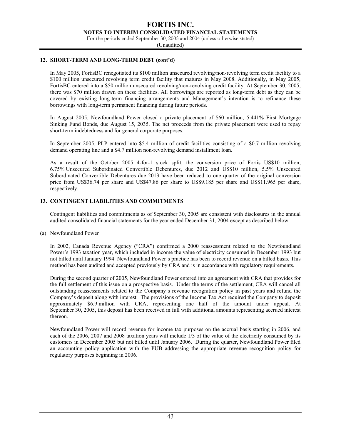**NOTES TO INTERIM CONSOLIDATED FINANCIAL STATEMENTS** 

For the periods ended September 30, 2005 and 2004 (unless otherwise stated)

(Unaudited)

## **12. SHORT-TERM AND LONG-TERM DEBT (cont'd)**

In May 2005, FortisBC renegotiated its \$100 million unsecured revolving/non-revolving term credit facility to a \$100 million unsecured revolving term credit facility that matures in May 2008. Additionally, in May 2005, FortisBC entered into a \$50 million unsecured revolving/non-revolving credit facility. At September 30, 2005, there was \$70 million drawn on these facilities. All borrowings are reported as long-term debt as they can be covered by existing long-term financing arrangements and Management's intention is to refinance these borrowings with long-term permanent financing during future periods.

In August 2005, Newfoundland Power closed a private placement of \$60 million, 5.441% First Mortgage Sinking Fund Bonds, due August 15, 2035. The net proceeds from the private placement were used to repay short-term indebtedness and for general corporate purposes.

In September 2005, PLP entered into \$5.4 million of credit facilities consisting of a \$0.7 million revolving demand operating line and a \$4.7 million non-revolving demand installment loan.

As a result of the October 2005 4-for-1 stock split, the conversion price of Fortis US\$10 million, 6.75% Unsecured Subordinated Convertible Debentures, due 2012 and US\$10 million, 5.5% Unsecured Subordinated Convertible Debentures due 2013 have been reduced to one quarter of the original conversion price from US\$36.74 per share and US\$47.86 per share to US\$9.185 per share and US\$11.965 per share, respectively.

## **13. CONTINGENT LIABILITIES AND COMMITMENTS**

Contingent liabilities and commitments as of September 30, 2005 are consistent with disclosures in the annual audited consolidated financial statements for the year ended December 31, 2004 except as described below:

(a) Newfoundland Power

In 2002, Canada Revenue Agency ("CRA") confirmed a 2000 reassessment related to the Newfoundland Power's 1993 taxation year, which included in income the value of electricity consumed in December 1993 but not billed until January 1994. Newfoundland Power's practice has been to record revenue on a billed basis. This method has been audited and accepted previously by CRA and is in accordance with regulatory requirements.

During the second quarter of 2005, Newfoundland Power entered into an agreement with CRA that provides for the full settlement of this issue on a prospective basis. Under the terms of the settlement, CRA will cancel all outstanding reassessments related to the Company's revenue recognition policy in past years and refund the Company's deposit along with interest. The provisions of the Income Tax Act required the Company to deposit approximately \$6.9 million with CRA, representing one half of the amount under appeal. At September 30, 2005, this deposit has been received in full with additional amounts representing accrued interest thereon.

Newfoundland Power will record revenue for income tax purposes on the accrual basis starting in 2006, and each of the 2006, 2007 and 2008 taxation years will include 1/3 of the value of the electricity consumed by its customers in December 2005 but not billed until January 2006. During the quarter, Newfoundland Power filed an accounting policy application with the PUB addressing the appropriate revenue recognition policy for regulatory purposes beginning in 2006.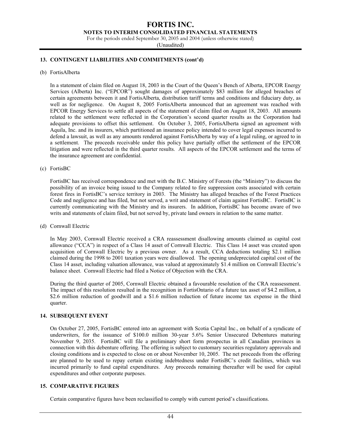**NOTES TO INTERIM CONSOLIDATED FINANCIAL STATEMENTS** 

For the periods ended September 30, 2005 and 2004 (unless otherwise stated)

(Unaudited)

## **13. CONTINGENT LIABILITIES AND COMMITMENTS (cont'd)**

(b) FortisAlberta

In a statement of claim filed on August 18, 2003 in the Court of the Queen's Bench of Alberta, EPCOR Energy Services (Alberta) Inc. ("EPCOR") sought damages of approximately \$83 million for alleged breaches of certain agreements between it and FortisAlberta, distribution tariff terms and conditions and fiduciary duty, as well as for negligence. On August 8, 2005 FortisAlberta announced that an agreement was reached with EPCOR Energy Services to settle all aspects of the statement of claim filed on August 18, 2003. All amounts related to the settlement were reflected in the Corporation's second quarter results as the Corporation had adequate provisions to offset this settlement. On October 3, 2005, FortisAlberta signed an agreement with Aquila, Inc. and its insurers, which partitioned an insurance policy intended to cover legal expenses incurred to defend a lawsuit, as well as any amounts rendered against FortisAlberta by way of a legal ruling, or agreed to in a settlement. The proceeds receivable under this policy have partially offset the settlement of the EPCOR litigation and were reflected in the third quarter results. All aspects of the EPCOR settlement and the terms of the insurance agreement are confidential.

(c) FortisBC

FortisBC has received correspondence and met with the B.C. Ministry of Forests (the "Ministry") to discuss the possibility of an invoice being issued to the Company related to fire suppression costs associated with certain forest fires in FortisBC's service territory in 2003. The Ministry has alleged breaches of the Forest Practices Code and negligence and has filed, but not served, a writ and statement of claim against FortisBC. FortisBC is currently communicating with the Ministry and its insurers. In addition, FortisBC has become aware of two writs and statements of claim filed, but not served by, private land owners in relation to the same matter.

(d) Cornwall Electric

In May 2003, Cornwall Electric received a CRA reassessment disallowing amounts claimed as capital cost allowance ("CCA") in respect of a Class 14 asset of Cornwall Electric. This Class 14 asset was created upon acquisition of Cornwall Electric by a previous owner. As a result, CCA deductions totaling \$2.1 million claimed during the 1998 to 2001 taxation years were disallowed. The opening undepreciated capital cost of the Class 14 asset, including valuation allowance, was valued at approximately \$1.4 million on Cornwall Electric's balance sheet. Cornwall Electric had filed a Notice of Objection with the CRA.

During the third quarter of 2005, Cornwall Electric obtained a favourable resolution of the CRA reassessment. The impact of this resolution resulted in the recognition in FortisOntario of a future tax asset of \$4.2 million, a \$2.6 million reduction of goodwill and a \$1.6 million reduction of future income tax expense in the third quarter.

## **14. SUBSEQUENT EVENT**

On October 27, 2005, FortisBC entered into an agreement with Scotia Capital Inc., on behalf of a syndicate of underwriters, for the issuance of \$100.0 million 30-year 5.6% Senior Unsecured Debentures maturing November 9, 2035. FortisBC will file a preliminary short form prospectus in all Canadian provinces in connection with this debenture offering. The offering is subject to customary securities regulatory approvals and closing conditions and is expected to close on or about November 10, 2005. The net proceeds from the offering are planned to be used to repay certain existing indebtedness under FortisBC's credit facilities, which was incurred primarily to fund capital expenditures. Any proceeds remaining thereafter will be used for capital expenditures and other corporate purposes.

## **15. COMPARATIVE FIGURES**

Certain comparative figures have been reclassified to comply with current period's classifications.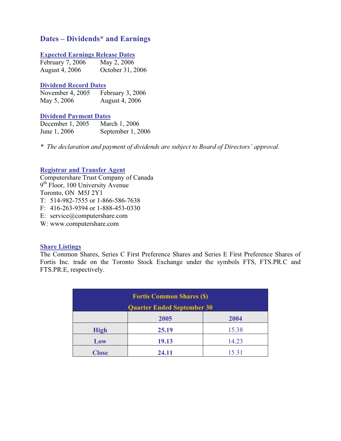# **Dates – Dividends\* and Earnings**

# **Expected Earnings Release Dates**

| February 7, 2006 | May 2, 2006      |
|------------------|------------------|
| August 4, 2006   | October 31, 2006 |

## **Dividend Record Dates**

| November 4, 2005 | February 3, 2006      |
|------------------|-----------------------|
| May 5, 2006      | <b>August 4, 2006</b> |

## **Dividend Payment Dates**

| December 1, 2005 | March 1, 2006     |
|------------------|-------------------|
| June 1, 2006     | September 1, 2006 |

*\* The declaration and payment of dividends are subject to Board of Directors' approval.* 

# **Registrar and Transfer Agent**

Computershare Trust Company of Canada 9<sup>th</sup> Floor, 100 University Avenue Toronto, ON M5J 2Y1 T: 514-982-7555 or 1-866-586-7638 F: 416-263-9394 or 1-888-453-0330 E: service@computershare.com

W: www.computershare.com

# **Share Listings**

The Common Shares, Series C First Preference Shares and Series E First Preference Shares of Fortis Inc. trade on the Toronto Stock Exchange under the symbols FTS, FTS.PR.C and FTS.PR.E, respectively.

|              | <b>Fortis Common Shares (\$)</b>  |       |  |  |
|--------------|-----------------------------------|-------|--|--|
|              | <b>Quarter Ended September 30</b> |       |  |  |
|              | 2005                              | 2004  |  |  |
| <b>High</b>  | 25.19                             | 15.38 |  |  |
| Low          | 19.13<br>14.23                    |       |  |  |
| <b>Close</b> | 24.11                             | 15.31 |  |  |